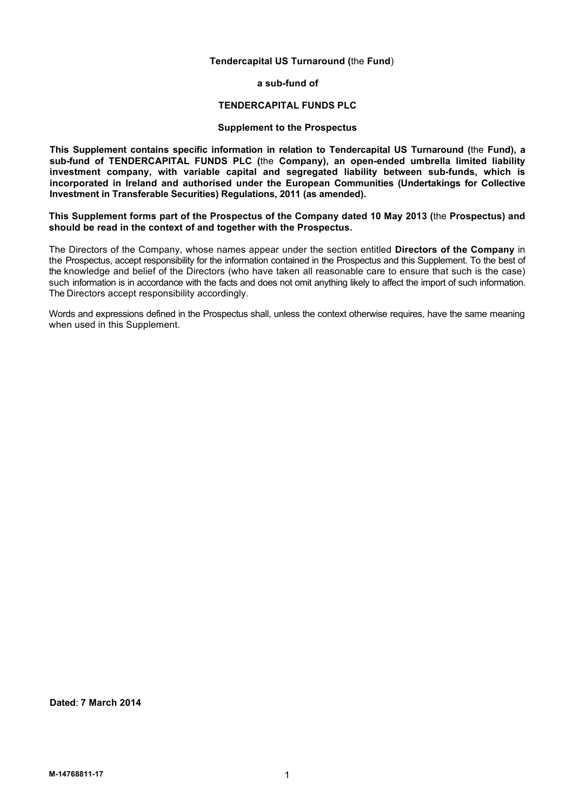# **Tendercapital US Turnaround (**the **Fund**)

**a sub-fund of**

# **TENDERCAPITAL FUNDS PLC**

# **Supplement to the Prospectus**

**This Supplement contains specific information in relation to Tendercapital US Turnaround (**the **Fund), a sub-fund of TENDERCAPITAL FUNDS PLC (**the **Company), an open-ended umbrella limited liability investment company, with variable capital and segregated liability between sub-funds, which is incorporated in Ireland and authorised under the European Communities (Undertakings for Collective Investment in Transferable Securities) Regulations, 2011 (as amended).**

**This Supplement forms part of the Prospectus of the Company dated 10 May 2013 (**the **Prospectus) and should be read in the context of and together with the Prospectus.**

The Directors of the Company, whose names appear under the section entitled **Directors of the Company** in the Prospectus, accept responsibility for the information contained in the Prospectus and this Supplement. To the best of the knowledge and belief of the Directors (who have taken all reasonable care to ensure that such is the case) such information is in accordance with the facts and does not omit anything likely to affect the import of such information. The Directors accept responsibility accordingly.

Words and expressions defined in the Prospectus shall, unless the context otherwise requires, have the same meaning when used in this Supplement.

**Dated**: **7 March 2014**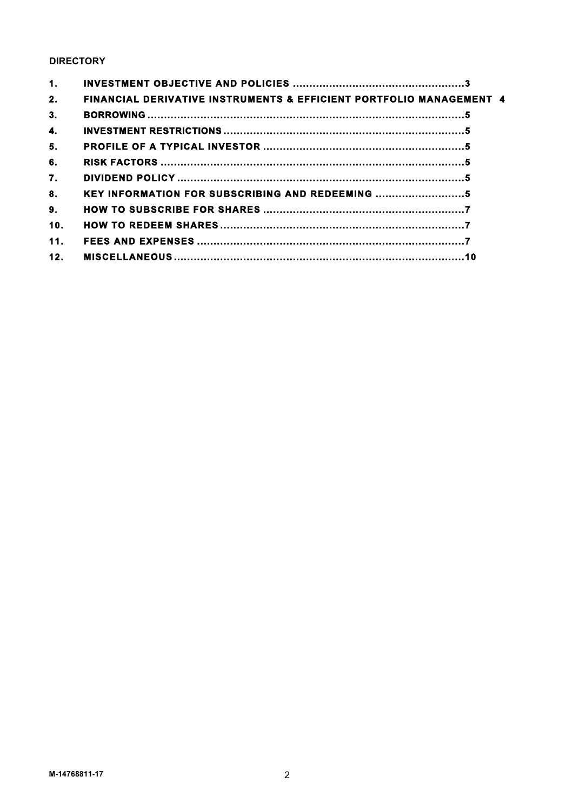# **DIRECTORY**

| 1.  |                                                                                |  |
|-----|--------------------------------------------------------------------------------|--|
| 2.  | <b>FINANCIAL DERIVATIVE INSTRUMENTS &amp; EFFICIENT PORTFOLIO MANAGEMENT 4</b> |  |
| 3.  |                                                                                |  |
| 4.  |                                                                                |  |
| 5.  |                                                                                |  |
| 6.  |                                                                                |  |
| 7.  |                                                                                |  |
| 8.  | KEY INFORMATION FOR SUBSCRIBING AND REDEEMING                                  |  |
| 9.  |                                                                                |  |
| 10. |                                                                                |  |
| 11. |                                                                                |  |
| 12. |                                                                                |  |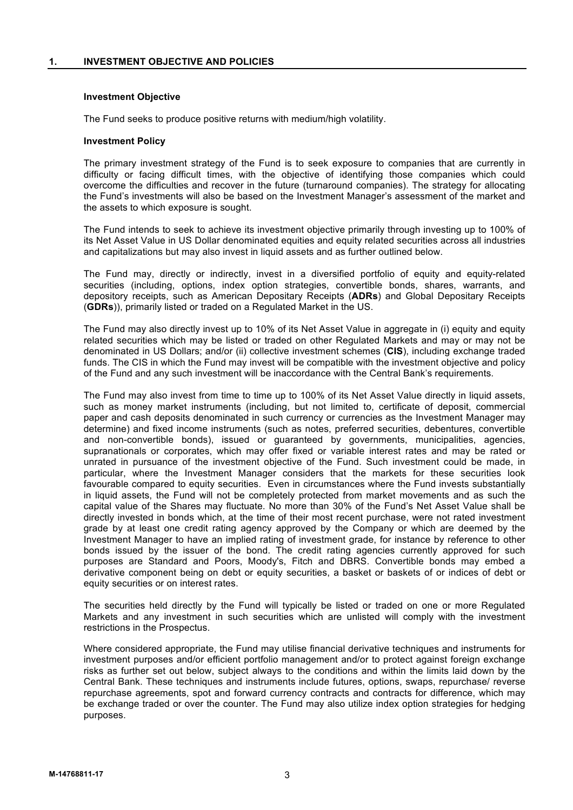# **1. INVESTMENT OBJECTIVE AND POLICIES**

# **Investment Objective**

The Fund seeks to produce positive returns with medium/high volatility.

#### **Investment Policy**

The primary investment strategy of the Fund is to seek exposure to companies that are currently in difficulty or facing difficult times, with the objective of identifying those companies which could overcome the difficulties and recover in the future (turnaround companies). The strategy for allocating the Fund's investments will also be based on the Investment Manager's assessment of the market and the assets to which exposure is sought.

The Fund intends to seek to achieve its investment objective primarily through investing up to 100% of its Net Asset Value in US Dollar denominated equities and equity related securities across all industries and capitalizations but may also invest in liquid assets and as further outlined below.

The Fund may, directly or indirectly, invest in a diversified portfolio of equity and equity-related securities (including, options, index option strategies, convertible bonds, shares, warrants, and depository receipts, such as American Depositary Receipts (**ADRs**) and Global Depositary Receipts (**GDRs**)), primarily listed or traded on a Regulated Market in the US.

The Fund may also directly invest up to 10% of its Net Asset Value in aggregate in (i) equity and equity related securities which may be listed or traded on other Regulated Markets and may or may not be denominated in US Dollars; and/or (ii) collective investment schemes (**CIS**), including exchange traded funds. The CIS in which the Fund may invest will be compatible with the investment objective and policy of the Fund and any such investment will be inaccordance with the Central Bank's requirements.

The Fund may also invest from time to time up to 100% of its Net Asset Value directly in liquid assets, such as money market instruments (including, but not limited to, certificate of deposit, commercial paper and cash deposits denominated in such currency or currencies as the Investment Manager may determine) and fixed income instruments (such as notes, preferred securities, debentures, convertible and non-convertible bonds), issued or guaranteed by governments, municipalities, agencies, supranationals or corporates, which may offer fixed or variable interest rates and may be rated or unrated in pursuance of the investment objective of the Fund. Such investment could be made, in particular, where the Investment Manager considers that the markets for these securities look favourable compared to equity securities. Even in circumstances where the Fund invests substantially in liquid assets, the Fund will not be completely protected from market movements and as such the capital value of the Shares may fluctuate. No more than 30% of the Fund's Net Asset Value shall be directly invested in bonds which, at the time of their most recent purchase, were not rated investment grade by at least one credit rating agency approved by the Company or which are deemed by the Investment Manager to have an implied rating of investment grade, for instance by reference to other bonds issued by the issuer of the bond. The credit rating agencies currently approved for such purposes are Standard and Poors, Moody's, Fitch and DBRS. Convertible bonds may embed a derivative component being on debt or equity securities, a basket or baskets of or indices of debt or equity securities or on interest rates.

The securities held directly by the Fund will typically be listed or traded on one or more Regulated Markets and any investment in such securities which are unlisted will comply with the investment restrictions in the Prospectus.

Where considered appropriate, the Fund may utilise financial derivative techniques and instruments for investment purposes and/or efficient portfolio management and/or to protect against foreign exchange risks as further set out below, subject always to the conditions and within the limits laid down by the Central Bank. These techniques and instruments include futures, options, swaps, repurchase/ reverse repurchase agreements, spot and forward currency contracts and contracts for difference, which may be exchange traded or over the counter. The Fund may also utilize index option strategies for hedging purposes.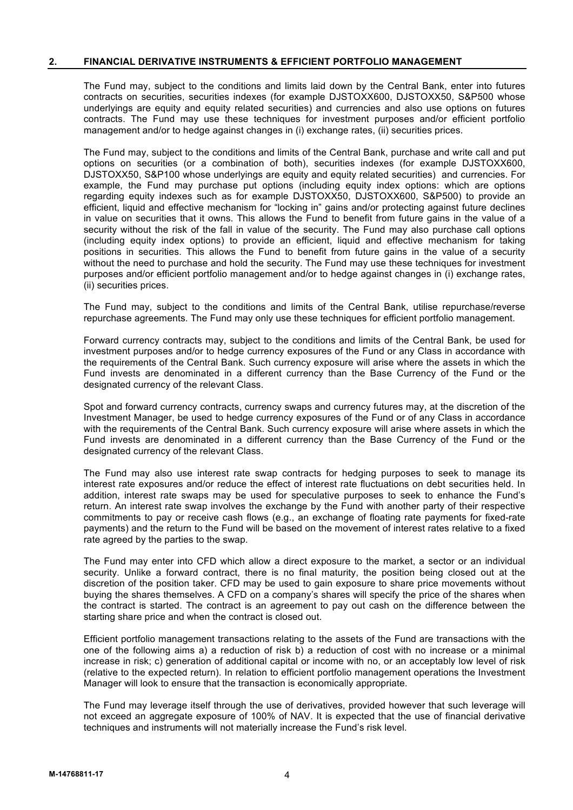# **2. FINANCIAL DERIVATIVE INSTRUMENTS & EFFICIENT PORTFOLIO MANAGEMENT**

The Fund may, subject to the conditions and limits laid down by the Central Bank, enter into futures contracts on securities, securities indexes (for example DJSTOXX600, DJSTOXX50, S&P500 whose underlyings are equity and equity related securities) and currencies and also use options on futures contracts. The Fund may use these techniques for investment purposes and/or efficient portfolio management and/or to hedge against changes in (i) exchange rates, (ii) securities prices.

The Fund may, subject to the conditions and limits of the Central Bank, purchase and write call and put options on securities (or a combination of both), securities indexes (for example DJSTOXX600, DJSTOXX50, S&P100 whose underlyings are equity and equity related securities) and currencies. For example, the Fund may purchase put options (including equity index options: which are options regarding equity indexes such as for example DJSTOXX50, DJSTOXX600, S&P500) to provide an efficient, liquid and effective mechanism for "locking in" gains and/or protecting against future declines in value on securities that it owns. This allows the Fund to benefit from future gains in the value of a security without the risk of the fall in value of the security. The Fund may also purchase call options (including equity index options) to provide an efficient, liquid and effective mechanism for taking positions in securities. This allows the Fund to benefit from future gains in the value of a security without the need to purchase and hold the security. The Fund may use these techniques for investment purposes and/or efficient portfolio management and/or to hedge against changes in (i) exchange rates, (ii) securities prices.

The Fund may, subject to the conditions and limits of the Central Bank, utilise repurchase/reverse repurchase agreements. The Fund may only use these techniques for efficient portfolio management.

Forward currency contracts may, subject to the conditions and limits of the Central Bank, be used for investment purposes and/or to hedge currency exposures of the Fund or any Class in accordance with the requirements of the Central Bank. Such currency exposure will arise where the assets in which the Fund invests are denominated in a different currency than the Base Currency of the Fund or the designated currency of the relevant Class.

Spot and forward currency contracts, currency swaps and currency futures may, at the discretion of the Investment Manager, be used to hedge currency exposures of the Fund or of any Class in accordance with the requirements of the Central Bank. Such currency exposure will arise where assets in which the Fund invests are denominated in a different currency than the Base Currency of the Fund or the designated currency of the relevant Class.

The Fund may also use interest rate swap contracts for hedging purposes to seek to manage its interest rate exposures and/or reduce the effect of interest rate fluctuations on debt securities held. In addition, interest rate swaps may be used for speculative purposes to seek to enhance the Fund's return. An interest rate swap involves the exchange by the Fund with another party of their respective commitments to pay or receive cash flows (e.g., an exchange of floating rate payments for fixed-rate payments) and the return to the Fund will be based on the movement of interest rates relative to a fixed rate agreed by the parties to the swap.

The Fund may enter into CFD which allow a direct exposure to the market, a sector or an individual security. Unlike a forward contract, there is no final maturity, the position being closed out at the discretion of the position taker. CFD may be used to gain exposure to share price movements without buying the shares themselves. A CFD on a company's shares will specify the price of the shares when the contract is started. The contract is an agreement to pay out cash on the difference between the starting share price and when the contract is closed out.

Efficient portfolio management transactions relating to the assets of the Fund are transactions with the one of the following aims a) a reduction of risk b) a reduction of cost with no increase or a minimal increase in risk; c) generation of additional capital or income with no, or an acceptably low level of risk (relative to the expected return). In relation to efficient portfolio management operations the Investment Manager will look to ensure that the transaction is economically appropriate.

The Fund may leverage itself through the use of derivatives, provided however that such leverage will not exceed an aggregate exposure of 100% of NAV. It is expected that the use of financial derivative techniques and instruments will not materially increase the Fund's risk level.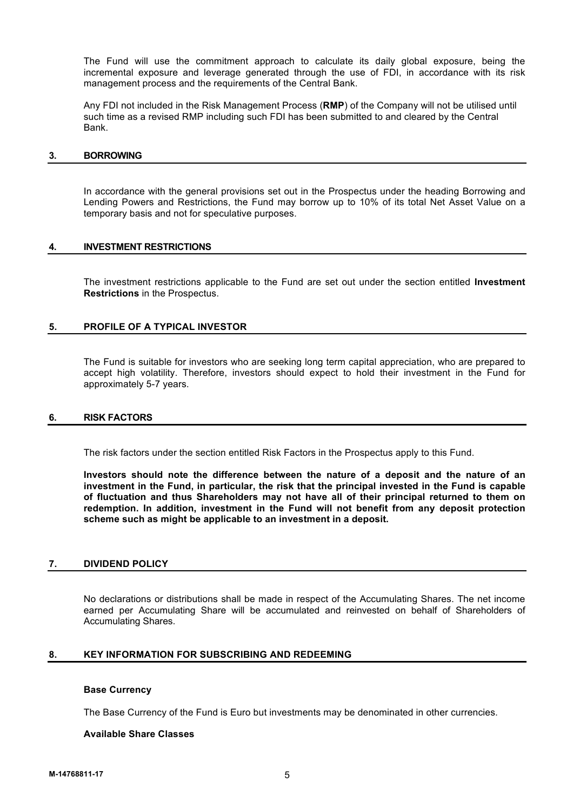The Fund will use the commitment approach to calculate its daily global exposure, being the incremental exposure and leverage generated through the use of FDI, in accordance with its risk management process and the requirements of the Central Bank.

Any FDI not included in the Risk Management Process (**RMP**) of the Company will not be utilised until such time as a revised RMP including such FDI has been submitted to and cleared by the Central Bank.

#### **3. BORROWING**

In accordance with the general provisions set out in the Prospectus under the heading Borrowing and Lending Powers and Restrictions, the Fund may borrow up to 10% of its total Net Asset Value on a temporary basis and not for speculative purposes.

# **4. INVESTMENT RESTRICTIONS**

The investment restrictions applicable to the Fund are set out under the section entitled **Investment Restrictions** in the Prospectus.

# **5. PROFILE OF A TYPICAL INVESTOR**

The Fund is suitable for investors who are seeking long term capital appreciation, who are prepared to accept high volatility. Therefore, investors should expect to hold their investment in the Fund for approximately 5-7 years.

# **6. RISK FACTORS**

The risk factors under the section entitled Risk Factors in the Prospectus apply to this Fund.

**Investors should note the difference between the nature of a deposit and the nature of an investment in the Fund, in particular, the risk that the principal invested in the Fund is capable of fluctuation and thus Shareholders may not have all of their principal returned to them on redemption. In addition, investment in the Fund will not benefit from any deposit protection scheme such as might be applicable to an investment in a deposit.**

# **7. DIVIDEND POLICY**

No declarations or distributions shall be made in respect of the Accumulating Shares. The net income earned per Accumulating Share will be accumulated and reinvested on behalf of Shareholders of Accumulating Shares.

# **8. KEY INFORMATION FOR SUBSCRIBING AND REDEEMING**

# **Base Currency**

The Base Currency of the Fund is Euro but investments may be denominated in other currencies.

#### **Available Share Classes**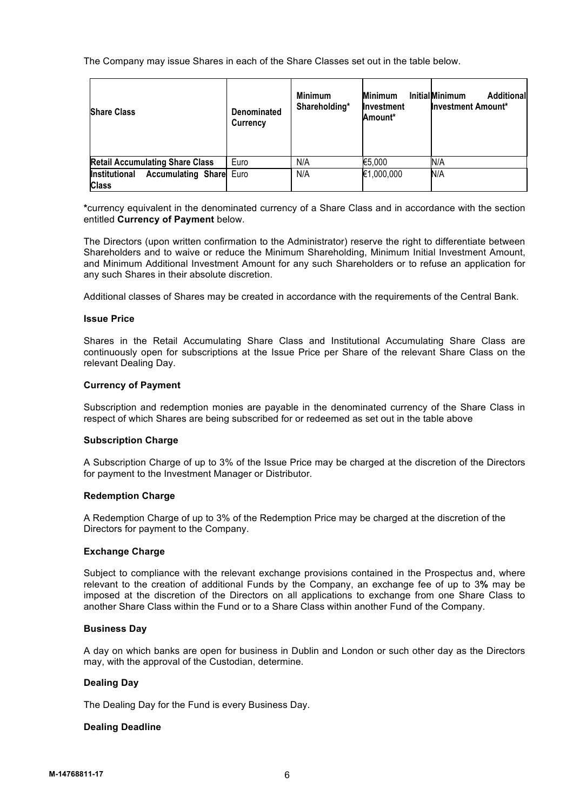The Company may issue Shares in each of the Share Classes set out in the table below.

| <b>Share Class</b>                                                     | Denominated<br>Currency | <b>Minimum</b><br>Shareholding* | <b>Minimum</b><br>Investment<br>Amount* | <b>InitialMinimum</b><br>Additional<br><b>Investment Amount*</b> |
|------------------------------------------------------------------------|-------------------------|---------------------------------|-----------------------------------------|------------------------------------------------------------------|
| <b>Retail Accumulating Share Class</b>                                 | Euro                    | N/A                             | €5,000                                  | N/A                                                              |
| <b>Accumulating Share</b> Euro<br><b>Institutional</b><br><b>Class</b> |                         | N/A                             | €1,000,000                              | N/A                                                              |

**\***currency equivalent in the denominated currency of a Share Class and in accordance with the section entitled **Currency of Payment** below.

The Directors (upon written confirmation to the Administrator) reserve the right to differentiate between Shareholders and to waive or reduce the Minimum Shareholding, Minimum Initial Investment Amount, and Minimum Additional Investment Amount for any such Shareholders or to refuse an application for any such Shares in their absolute discretion.

Additional classes of Shares may be created in accordance with the requirements of the Central Bank.

# **Issue Price**

Shares in the Retail Accumulating Share Class and Institutional Accumulating Share Class are continuously open for subscriptions at the Issue Price per Share of the relevant Share Class on the relevant Dealing Day.

# **Currency of Payment**

Subscription and redemption monies are payable in the denominated currency of the Share Class in respect of which Shares are being subscribed for or redeemed as set out in the table above

#### **Subscription Charge**

A Subscription Charge of up to 3% of the Issue Price may be charged at the discretion of the Directors for payment to the Investment Manager or Distributor.

# **Redemption Charge**

A Redemption Charge of up to 3% of the Redemption Price may be charged at the discretion of the Directors for payment to the Company.

# **Exchange Charge**

Subject to compliance with the relevant exchange provisions contained in the Prospectus and, where relevant to the creation of additional Funds by the Company, an exchange fee of up to 3**%** may be imposed at the discretion of the Directors on all applications to exchange from one Share Class to another Share Class within the Fund or to a Share Class within another Fund of the Company.

# **Business Day**

A day on which banks are open for business in Dublin and London or such other day as the Directors may, with the approval of the Custodian, determine.

#### **Dealing Day**

The Dealing Day for the Fund is every Business Day.

# **Dealing Deadline**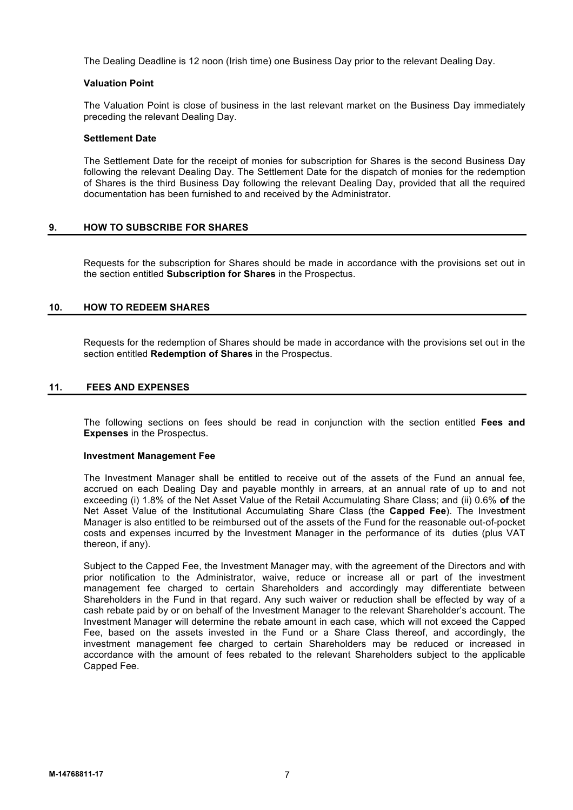The Dealing Deadline is 12 noon (Irish time) one Business Day prior to the relevant Dealing Day.

# **Valuation Point**

The Valuation Point is close of business in the last relevant market on the Business Day immediately preceding the relevant Dealing Day.

# **Settlement Date**

The Settlement Date for the receipt of monies for subscription for Shares is the second Business Day following the relevant Dealing Day. The Settlement Date for the dispatch of monies for the redemption of Shares is the third Business Day following the relevant Dealing Day, provided that all the required documentation has been furnished to and received by the Administrator.

# **9. HOW TO SUBSCRIBE FOR SHARES**

Requests for the subscription for Shares should be made in accordance with the provisions set out in the section entitled **Subscription for Shares** in the Prospectus.

# **10. HOW TO REDEEM SHARES**

Requests for the redemption of Shares should be made in accordance with the provisions set out in the section entitled **Redemption of Shares** in the Prospectus.

# **11. FEES AND EXPENSES**

The following sections on fees should be read in conjunction with the section entitled **Fees and Expenses** in the Prospectus.

# **Investment Management Fee**

The Investment Manager shall be entitled to receive out of the assets of the Fund an annual fee, accrued on each Dealing Day and payable monthly in arrears, at an annual rate of up to and not exceeding (i) 1.8% of the Net Asset Value of the Retail Accumulating Share Class; and (ii) 0.6% **of** the Net Asset Value of the Institutional Accumulating Share Class (the **Capped Fee**). The Investment Manager is also entitled to be reimbursed out of the assets of the Fund for the reasonable out-of-pocket costs and expenses incurred by the Investment Manager in the performance of its duties (plus VAT thereon, if any).

Subject to the Capped Fee, the Investment Manager may, with the agreement of the Directors and with prior notification to the Administrator, waive, reduce or increase all or part of the investment management fee charged to certain Shareholders and accordingly may differentiate between Shareholders in the Fund in that regard. Any such waiver or reduction shall be effected by way of a cash rebate paid by or on behalf of the Investment Manager to the relevant Shareholder's account. The Investment Manager will determine the rebate amount in each case, which will not exceed the Capped Fee, based on the assets invested in the Fund or a Share Class thereof, and accordingly, the investment management fee charged to certain Shareholders may be reduced or increased in accordance with the amount of fees rebated to the relevant Shareholders subject to the applicable Capped Fee.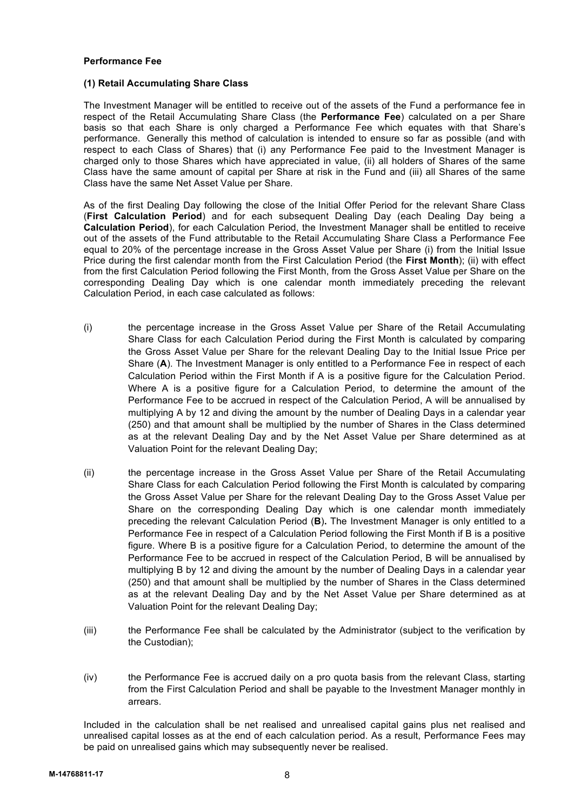# **Performance Fee**

# **(1) Retail Accumulating Share Class**

The Investment Manager will be entitled to receive out of the assets of the Fund a performance fee in respect of the Retail Accumulating Share Class (the **Performance Fee**) calculated on a per Share basis so that each Share is only charged a Performance Fee which equates with that Share's performance. Generally this method of calculation is intended to ensure so far as possible (and with respect to each Class of Shares) that (i) any Performance Fee paid to the Investment Manager is charged only to those Shares which have appreciated in value, (ii) all holders of Shares of the same Class have the same amount of capital per Share at risk in the Fund and (iii) all Shares of the same Class have the same Net Asset Value per Share.

As of the first Dealing Day following the close of the Initial Offer Period for the relevant Share Class (**First Calculation Period**) and for each subsequent Dealing Day (each Dealing Day being a **Calculation Period**), for each Calculation Period, the Investment Manager shall be entitled to receive out of the assets of the Fund attributable to the Retail Accumulating Share Class a Performance Fee equal to 20% of the percentage increase in the Gross Asset Value per Share (i) from the Initial Issue Price during the first calendar month from the First Calculation Period (the **First Month**); (ii) with effect from the first Calculation Period following the First Month, from the Gross Asset Value per Share on the corresponding Dealing Day which is one calendar month immediately preceding the relevant Calculation Period, in each case calculated as follows:

- (i) the percentage increase in the Gross Asset Value per Share of the Retail Accumulating Share Class for each Calculation Period during the First Month is calculated by comparing the Gross Asset Value per Share for the relevant Dealing Day to the Initial Issue Price per Share (**A**). The Investment Manager is only entitled to a Performance Fee in respect of each Calculation Period within the First Month if A is a positive figure for the Calculation Period. Where A is a positive figure for a Calculation Period, to determine the amount of the Performance Fee to be accrued in respect of the Calculation Period, A will be annualised by multiplying A by 12 and diving the amount by the number of Dealing Days in a calendar year (250) and that amount shall be multiplied by the number of Shares in the Class determined as at the relevant Dealing Day and by the Net Asset Value per Share determined as at Valuation Point for the relevant Dealing Day;
- (ii) the percentage increase in the Gross Asset Value per Share of the Retail Accumulating Share Class for each Calculation Period following the First Month is calculated by comparing the Gross Asset Value per Share for the relevant Dealing Day to the Gross Asset Value per Share on the corresponding Dealing Day which is one calendar month immediately preceding the relevant Calculation Period (**B**)**.** The Investment Manager is only entitled to a Performance Fee in respect of a Calculation Period following the First Month if B is a positive figure. Where B is a positive figure for a Calculation Period, to determine the amount of the Performance Fee to be accrued in respect of the Calculation Period, B will be annualised by multiplying B by 12 and diving the amount by the number of Dealing Days in a calendar year (250) and that amount shall be multiplied by the number of Shares in the Class determined as at the relevant Dealing Day and by the Net Asset Value per Share determined as at Valuation Point for the relevant Dealing Day;
- (iii) the Performance Fee shall be calculated by the Administrator (subject to the verification by the Custodian);
- (iv) the Performance Fee is accrued daily on a pro quota basis from the relevant Class, starting from the First Calculation Period and shall be payable to the Investment Manager monthly in arrears.

Included in the calculation shall be net realised and unrealised capital gains plus net realised and unrealised capital losses as at the end of each calculation period. As a result, Performance Fees may be paid on unrealised gains which may subsequently never be realised.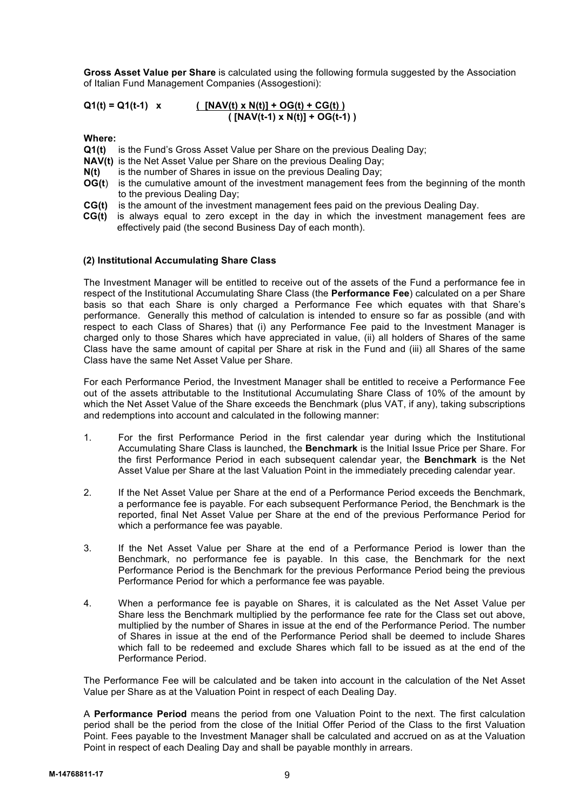**Gross Asset Value per Share** is calculated using the following formula suggested by the Association of Italian Fund Management Companies (Assogestioni):

**Q1(t) = Q1(t-1) x ( [NAV(t) x N(t)] + OG(t) + CG(t) ) ( [NAV(t-1) x N(t)] + OG(t-1) )**

**Where:**

- **Q1(t)** is the Fund's Gross Asset Value per Share on the previous Dealing Day;
- **NAV(t)** is the Net Asset Value per Share on the previous Dealing Day;
- **N(t)** is the number of Shares in issue on the previous Dealing Day;
- **OG(t)** is the cumulative amount of the investment management fees from the beginning of the month to the previous Dealing Day;
- **CG(t)** is the amount of the investment management fees paid on the previous Dealing Day.
- **CG(t)** is always equal to zero except in the day in which the investment management fees are effectively paid (the second Business Day of each month).

#### **(2) Institutional Accumulating Share Class**

The Investment Manager will be entitled to receive out of the assets of the Fund a performance fee in respect of the Institutional Accumulating Share Class (the **Performance Fee**) calculated on a per Share basis so that each Share is only charged a Performance Fee which equates with that Share's performance. Generally this method of calculation is intended to ensure so far as possible (and with respect to each Class of Shares) that (i) any Performance Fee paid to the Investment Manager is charged only to those Shares which have appreciated in value, (ii) all holders of Shares of the same Class have the same amount of capital per Share at risk in the Fund and (iii) all Shares of the same Class have the same Net Asset Value per Share.

For each Performance Period, the Investment Manager shall be entitled to receive a Performance Fee out of the assets attributable to the Institutional Accumulating Share Class of 10% of the amount by which the Net Asset Value of the Share exceeds the Benchmark (plus VAT, if any), taking subscriptions and redemptions into account and calculated in the following manner:

- 1. For the first Performance Period in the first calendar year during which the Institutional Accumulating Share Class is launched, the **Benchmark** is the Initial Issue Price per Share. For the first Performance Period in each subsequent calendar year, the **Benchmark** is the Net Asset Value per Share at the last Valuation Point in the immediately preceding calendar year.
- 2. If the Net Asset Value per Share at the end of a Performance Period exceeds the Benchmark, a performance fee is payable. For each subsequent Performance Period, the Benchmark is the reported, final Net Asset Value per Share at the end of the previous Performance Period for which a performance fee was payable.
- 3. If the Net Asset Value per Share at the end of a Performance Period is lower than the Benchmark, no performance fee is payable. In this case, the Benchmark for the next Performance Period is the Benchmark for the previous Performance Period being the previous Performance Period for which a performance fee was payable.
- 4. When a performance fee is payable on Shares, it is calculated as the Net Asset Value per Share less the Benchmark multiplied by the performance fee rate for the Class set out above, multiplied by the number of Shares in issue at the end of the Performance Period. The number of Shares in issue at the end of the Performance Period shall be deemed to include Shares which fall to be redeemed and exclude Shares which fall to be issued as at the end of the Performance Period.

The Performance Fee will be calculated and be taken into account in the calculation of the Net Asset Value per Share as at the Valuation Point in respect of each Dealing Day.

A **Performance Period** means the period from one Valuation Point to the next. The first calculation period shall be the period from the close of the Initial Offer Period of the Class to the first Valuation Point. Fees payable to the Investment Manager shall be calculated and accrued on as at the Valuation Point in respect of each Dealing Day and shall be payable monthly in arrears.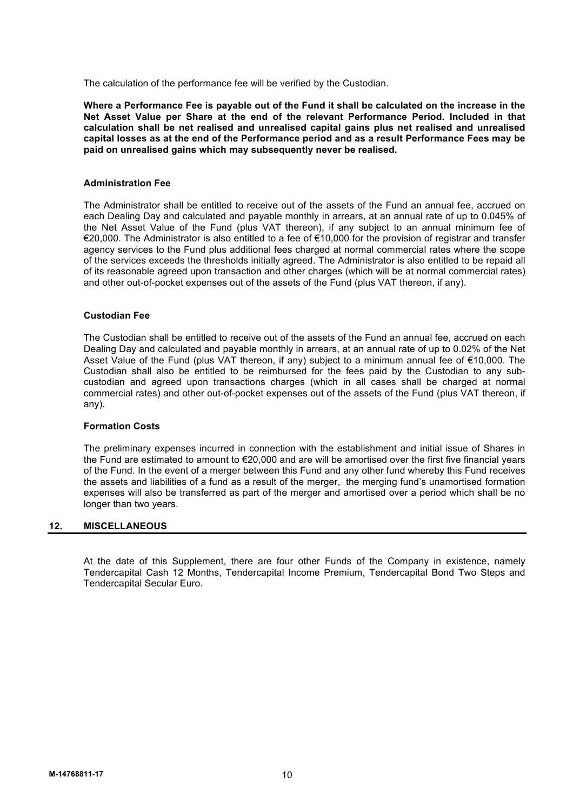The calculation of the performance fee will be verified by the Custodian.

**Where a Performance Fee is payable out of the Fund it shall be calculated on the increase in the Net Asset Value per Share at the end of the relevant Performance Period. Included in that calculation shall be net realised and unrealised capital gains plus net realised and unrealised capital losses as at the end of the Performance period and as a result Performance Fees may be paid on unrealised gains which may subsequently never be realised.**

#### **Administration Fee**

The Administrator shall be entitled to receive out of the assets of the Fund an annual fee, accrued on each Dealing Day and calculated and payable monthly in arrears, at an annual rate of up to 0.045% of the Net Asset Value of the Fund (plus VAT thereon), if any subject to an annual minimum fee of €20,000. The Administrator is also entitled to a fee of €10,000 for the provision of registrar and transfer agency services to the Fund plus additional fees charged at normal commercial rates where the scope of the services exceeds the thresholds initially agreed. The Administrator is also entitled to be repaid all of its reasonable agreed upon transaction and other charges (which will be at normal commercial rates) and other out-of-pocket expenses out of the assets of the Fund (plus VAT thereon, if any).

#### **Custodian Fee**

The Custodian shall be entitled to receive out of the assets of the Fund an annual fee, accrued on each Dealing Day and calculated and payable monthly in arrears, at an annual rate of up to 0.02% of the Net Asset Value of the Fund (plus VAT thereon, if any) subject to a minimum annual fee of €10,000. The Custodian shall also be entitled to be reimbursed for the fees paid by the Custodian to any subcustodian and agreed upon transactions charges (which in all cases shall be charged at normal commercial rates) and other out-of-pocket expenses out of the assets of the Fund (plus VAT thereon, if any).

#### **Formation Costs**

The preliminary expenses incurred in connection with the establishment and initial issue of Shares in the Fund are estimated to amount to €20,000 and are will be amortised over the first five financial years of the Fund. In the event of a merger between this Fund and any other fund whereby this Fund receives the assets and liabilities of a fund as a result of the merger, the merging fund's unamortised formation expenses will also be transferred as part of the merger and amortised over a period which shall be no longer than two years.

# **12. MISCELLANEOUS**

At the date of this Supplement, there are four other Funds of the Company in existence, namely Tendercapital Cash 12 Months, Tendercapital Income Premium, Tendercapital Bond Two Steps and Tendercapital Secular Euro.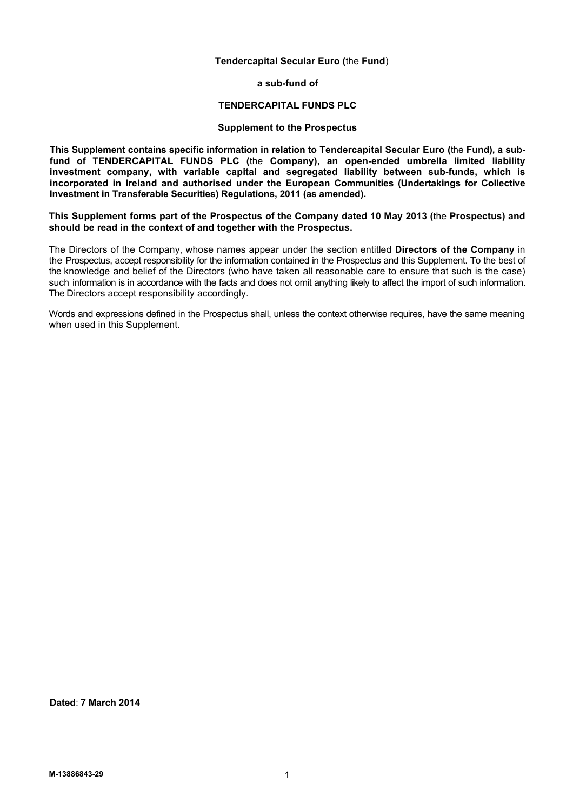# **Tendercapital Secular Euro (**the **Fund**)

**a sub-fund of**

#### **TENDERCAPITAL FUNDS PLC**

# **Supplement to the Prospectus**

**This Supplement contains specific information in relation to Tendercapital Secular Euro (**the **Fund), a subfund of TENDERCAPITAL FUNDS PLC (**the **Company), an open-ended umbrella limited liability investment company, with variable capital and segregated liability between sub-funds, which is incorporated in Ireland and authorised under the European Communities (Undertakings for Collective Investment in Transferable Securities) Regulations, 2011 (as amended).**

**This Supplement forms part of the Prospectus of the Company dated 10 May 2013 (**the **Prospectus) and should be read in the context of and together with the Prospectus.**

The Directors of the Company, whose names appear under the section entitled **Directors of the Company** in the Prospectus, accept responsibility for the information contained in the Prospectus and this Supplement. To the best of the knowledge and belief of the Directors (who have taken all reasonable care to ensure that such is the case) such information is in accordance with the facts and does not omit anything likely to affect the import of such information. The Directors accept responsibility accordingly.

Words and expressions defined in the Prospectus shall, unless the context otherwise requires, have the same meaning when used in this Supplement.

**Dated**: **7 March 2014**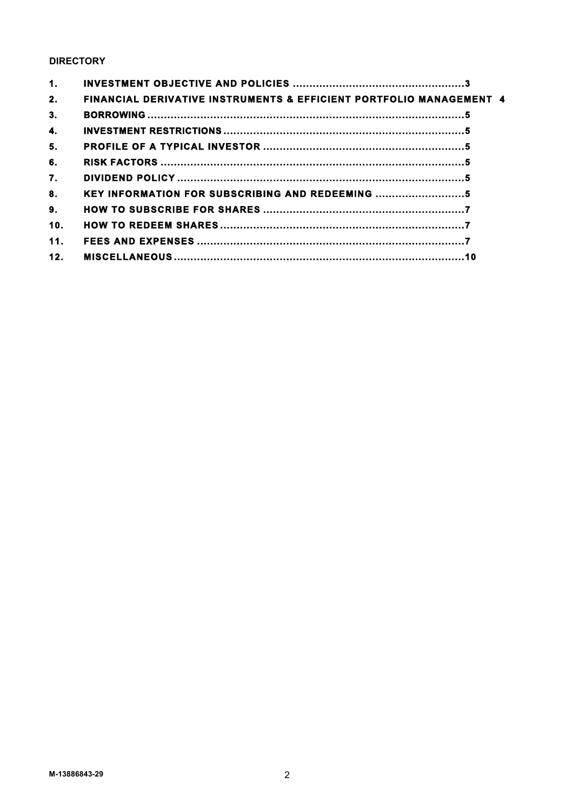# **DIRECTORY**

| 1.              |                                                                                |  |
|-----------------|--------------------------------------------------------------------------------|--|
| 2.              | <b>FINANCIAL DERIVATIVE INSTRUMENTS &amp; EFFICIENT PORTFOLIO MANAGEMENT 4</b> |  |
| 3.              |                                                                                |  |
| 4.              |                                                                                |  |
| 5.              |                                                                                |  |
| 6.              |                                                                                |  |
| 7.              |                                                                                |  |
| 8.              | KEY INFORMATION FOR SUBSCRIBING AND REDEEMING                                  |  |
| 9.              |                                                                                |  |
| 10.             |                                                                                |  |
| 11 <sub>1</sub> |                                                                                |  |
| 12.             |                                                                                |  |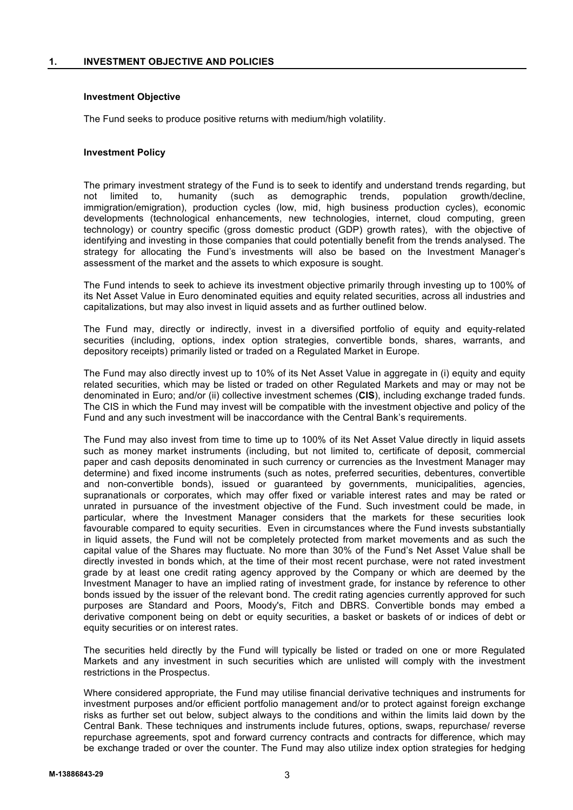# **Investment Objective**

The Fund seeks to produce positive returns with medium/high volatility.

# **Investment Policy**

The primary investment strategy of the Fund is to seek to identify and understand trends regarding, but not limited to, humanity (such as demographic trends, population growth/decline, immigration/emigration), production cycles (low, mid, high business production cycles), economic developments (technological enhancements, new technologies, internet, cloud computing, green technology) or country specific (gross domestic product (GDP) growth rates), with the objective of identifying and investing in those companies that could potentially benefit from the trends analysed. The strategy for allocating the Fund's investments will also be based on the Investment Manager's assessment of the market and the assets to which exposure is sought.

The Fund intends to seek to achieve its investment objective primarily through investing up to 100% of its Net Asset Value in Euro denominated equities and equity related securities, across all industries and capitalizations, but may also invest in liquid assets and as further outlined below.

The Fund may, directly or indirectly, invest in a diversified portfolio of equity and equity-related securities (including, options, index option strategies, convertible bonds, shares, warrants, and depository receipts) primarily listed or traded on a Regulated Market in Europe.

The Fund may also directly invest up to 10% of its Net Asset Value in aggregate in (i) equity and equity related securities, which may be listed or traded on other Regulated Markets and may or may not be denominated in Euro; and/or (ii) collective investment schemes (**CIS**), including exchange traded funds. The CIS in which the Fund may invest will be compatible with the investment objective and policy of the Fund and any such investment will be inaccordance with the Central Bank's requirements.

The Fund may also invest from time to time up to 100% of its Net Asset Value directly in liquid assets such as money market instruments (including, but not limited to, certificate of deposit, commercial paper and cash deposits denominated in such currency or currencies as the Investment Manager may determine) and fixed income instruments (such as notes, preferred securities, debentures, convertible and non-convertible bonds), issued or guaranteed by governments, municipalities, agencies, supranationals or corporates, which may offer fixed or variable interest rates and may be rated or unrated in pursuance of the investment objective of the Fund. Such investment could be made, in particular, where the Investment Manager considers that the markets for these securities look favourable compared to equity securities. Even in circumstances where the Fund invests substantially in liquid assets, the Fund will not be completely protected from market movements and as such the capital value of the Shares may fluctuate. No more than 30% of the Fund's Net Asset Value shall be directly invested in bonds which, at the time of their most recent purchase, were not rated investment grade by at least one credit rating agency approved by the Company or which are deemed by the Investment Manager to have an implied rating of investment grade, for instance by reference to other bonds issued by the issuer of the relevant bond. The credit rating agencies currently approved for such purposes are Standard and Poors, Moody's, Fitch and DBRS. Convertible bonds may embed a derivative component being on debt or equity securities, a basket or baskets of or indices of debt or equity securities or on interest rates.

The securities held directly by the Fund will typically be listed or traded on one or more Regulated Markets and any investment in such securities which are unlisted will comply with the investment restrictions in the Prospectus.

Where considered appropriate, the Fund may utilise financial derivative techniques and instruments for investment purposes and/or efficient portfolio management and/or to protect against foreign exchange risks as further set out below, subject always to the conditions and within the limits laid down by the Central Bank. These techniques and instruments include futures, options, swaps, repurchase/ reverse repurchase agreements, spot and forward currency contracts and contracts for difference, which may be exchange traded or over the counter. The Fund may also utilize index option strategies for hedging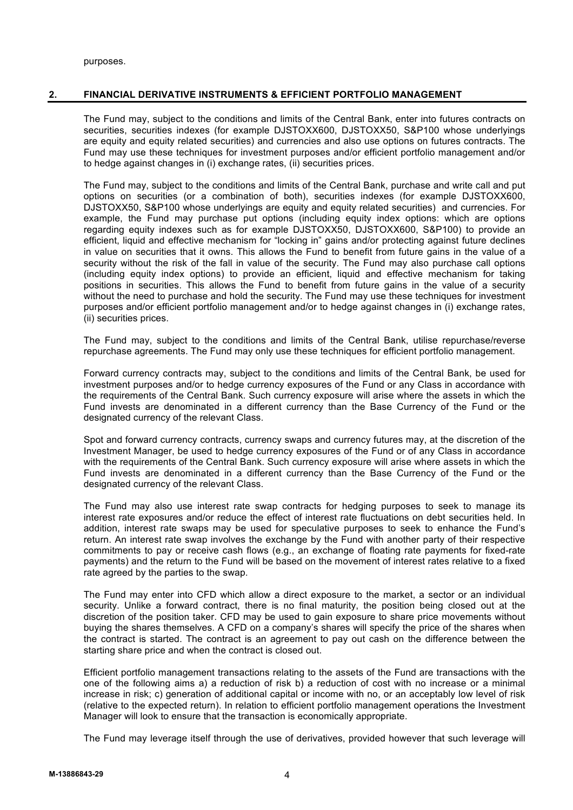purposes.

# **2. FINANCIAL DERIVATIVE INSTRUMENTS & EFFICIENT PORTFOLIO MANAGEMENT**

The Fund may, subject to the conditions and limits of the Central Bank, enter into futures contracts on securities, securities indexes (for example DJSTOXX600, DJSTOXX50, S&P100 whose underlyings are equity and equity related securities) and currencies and also use options on futures contracts. The Fund may use these techniques for investment purposes and/or efficient portfolio management and/or to hedge against changes in (i) exchange rates, (ii) securities prices.

The Fund may, subject to the conditions and limits of the Central Bank, purchase and write call and put options on securities (or a combination of both), securities indexes (for example DJSTOXX600, DJSTOXX50, S&P100 whose underlyings are equity and equity related securities) and currencies. For example, the Fund may purchase put options (including equity index options: which are options regarding equity indexes such as for example DJSTOXX50, DJSTOXX600, S&P100) to provide an efficient, liquid and effective mechanism for "locking in" gains and/or protecting against future declines in value on securities that it owns. This allows the Fund to benefit from future gains in the value of a security without the risk of the fall in value of the security. The Fund may also purchase call options (including equity index options) to provide an efficient, liquid and effective mechanism for taking positions in securities. This allows the Fund to benefit from future gains in the value of a security without the need to purchase and hold the security. The Fund may use these techniques for investment purposes and/or efficient portfolio management and/or to hedge against changes in (i) exchange rates, (ii) securities prices.

The Fund may, subject to the conditions and limits of the Central Bank, utilise repurchase/reverse repurchase agreements. The Fund may only use these techniques for efficient portfolio management.

Forward currency contracts may, subject to the conditions and limits of the Central Bank, be used for investment purposes and/or to hedge currency exposures of the Fund or any Class in accordance with the requirements of the Central Bank. Such currency exposure will arise where the assets in which the Fund invests are denominated in a different currency than the Base Currency of the Fund or the designated currency of the relevant Class.

Spot and forward currency contracts, currency swaps and currency futures may, at the discretion of the Investment Manager, be used to hedge currency exposures of the Fund or of any Class in accordance with the requirements of the Central Bank. Such currency exposure will arise where assets in which the Fund invests are denominated in a different currency than the Base Currency of the Fund or the designated currency of the relevant Class.

The Fund may also use interest rate swap contracts for hedging purposes to seek to manage its interest rate exposures and/or reduce the effect of interest rate fluctuations on debt securities held. In addition, interest rate swaps may be used for speculative purposes to seek to enhance the Fund's return. An interest rate swap involves the exchange by the Fund with another party of their respective commitments to pay or receive cash flows (e.g., an exchange of floating rate payments for fixed-rate payments) and the return to the Fund will be based on the movement of interest rates relative to a fixed rate agreed by the parties to the swap.

The Fund may enter into CFD which allow a direct exposure to the market, a sector or an individual security. Unlike a forward contract, there is no final maturity, the position being closed out at the discretion of the position taker. CFD may be used to gain exposure to share price movements without buying the shares themselves. A CFD on a company's shares will specify the price of the shares when the contract is started. The contract is an agreement to pay out cash on the difference between the starting share price and when the contract is closed out.

Efficient portfolio management transactions relating to the assets of the Fund are transactions with the one of the following aims a) a reduction of risk b) a reduction of cost with no increase or a minimal increase in risk; c) generation of additional capital or income with no, or an acceptably low level of risk (relative to the expected return). In relation to efficient portfolio management operations the Investment Manager will look to ensure that the transaction is economically appropriate.

The Fund may leverage itself through the use of derivatives, provided however that such leverage will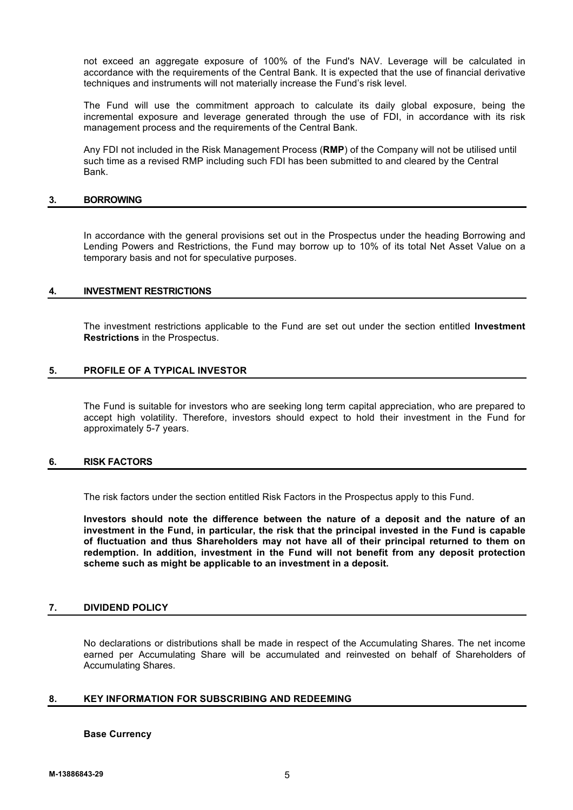not exceed an aggregate exposure of 100% of the Fund's NAV. Leverage will be calculated in accordance with the requirements of the Central Bank. It is expected that the use of financial derivative techniques and instruments will not materially increase the Fund's risk level.

The Fund will use the commitment approach to calculate its daily global exposure, being the incremental exposure and leverage generated through the use of FDI, in accordance with its risk management process and the requirements of the Central Bank.

Any FDI not included in the Risk Management Process (**RMP**) of the Company will not be utilised until such time as a revised RMP including such FDI has been submitted to and cleared by the Central Bank.

#### **3. BORROWING**

In accordance with the general provisions set out in the Prospectus under the heading Borrowing and Lending Powers and Restrictions, the Fund may borrow up to 10% of its total Net Asset Value on a temporary basis and not for speculative purposes.

# **4. INVESTMENT RESTRICTIONS**

The investment restrictions applicable to the Fund are set out under the section entitled **Investment Restrictions** in the Prospectus.

# **5. PROFILE OF A TYPICAL INVESTOR**

The Fund is suitable for investors who are seeking long term capital appreciation, who are prepared to accept high volatility. Therefore, investors should expect to hold their investment in the Fund for approximately 5-7 years.

# **6. RISK FACTORS**

The risk factors under the section entitled Risk Factors in the Prospectus apply to this Fund.

**Investors should note the difference between the nature of a deposit and the nature of an investment in the Fund, in particular, the risk that the principal invested in the Fund is capable of fluctuation and thus Shareholders may not have all of their principal returned to them on redemption. In addition, investment in the Fund will not benefit from any deposit protection scheme such as might be applicable to an investment in a deposit.**

# **7. DIVIDEND POLICY**

No declarations or distributions shall be made in respect of the Accumulating Shares. The net income earned per Accumulating Share will be accumulated and reinvested on behalf of Shareholders of Accumulating Shares.

# **8. KEY INFORMATION FOR SUBSCRIBING AND REDEEMING**

#### **Base Currency**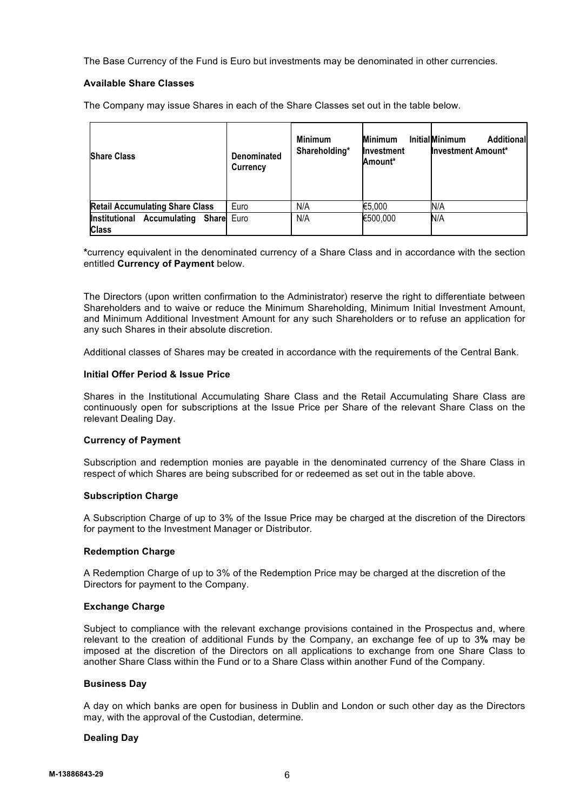The Base Currency of the Fund is Euro but investments may be denominated in other currencies.

# **Available Share Classes**

The Company may issue Shares in each of the Share Classes set out in the table below.

| <b>Share Class</b>                                         | Denominated<br>Currency | <b>Minimum</b><br>Shareholding* | <b>Minimum</b><br>Investment<br>Amount* | <b>InitialMinimum</b><br><b>Additional</b><br><b>Investment Amount*</b> |
|------------------------------------------------------------|-------------------------|---------------------------------|-----------------------------------------|-------------------------------------------------------------------------|
| <b>Retail Accumulating Share Class</b>                     | Euro                    | N/A                             | €5,000                                  | N/A                                                                     |
| <b>Accumulating Share</b><br>Institutional<br><b>Class</b> | Euro                    | N/A                             | €500,000                                | N/A                                                                     |

**\***currency equivalent in the denominated currency of a Share Class and in accordance with the section entitled **Currency of Payment** below.

The Directors (upon written confirmation to the Administrator) reserve the right to differentiate between Shareholders and to waive or reduce the Minimum Shareholding, Minimum Initial Investment Amount, and Minimum Additional Investment Amount for any such Shareholders or to refuse an application for any such Shares in their absolute discretion.

Additional classes of Shares may be created in accordance with the requirements of the Central Bank.

# **Initial Offer Period & Issue Price**

Shares in the Institutional Accumulating Share Class and the Retail Accumulating Share Class are continuously open for subscriptions at the Issue Price per Share of the relevant Share Class on the relevant Dealing Day.

# **Currency of Payment**

Subscription and redemption monies are payable in the denominated currency of the Share Class in respect of which Shares are being subscribed for or redeemed as set out in the table above.

# **Subscription Charge**

A Subscription Charge of up to 3% of the Issue Price may be charged at the discretion of the Directors for payment to the Investment Manager or Distributor.

# **Redemption Charge**

A Redemption Charge of up to 3% of the Redemption Price may be charged at the discretion of the Directors for payment to the Company.

# **Exchange Charge**

Subject to compliance with the relevant exchange provisions contained in the Prospectus and, where relevant to the creation of additional Funds by the Company, an exchange fee of up to 3**%** may be imposed at the discretion of the Directors on all applications to exchange from one Share Class to another Share Class within the Fund or to a Share Class within another Fund of the Company.

# **Business Day**

A day on which banks are open for business in Dublin and London or such other day as the Directors may, with the approval of the Custodian, determine.

# **Dealing Day**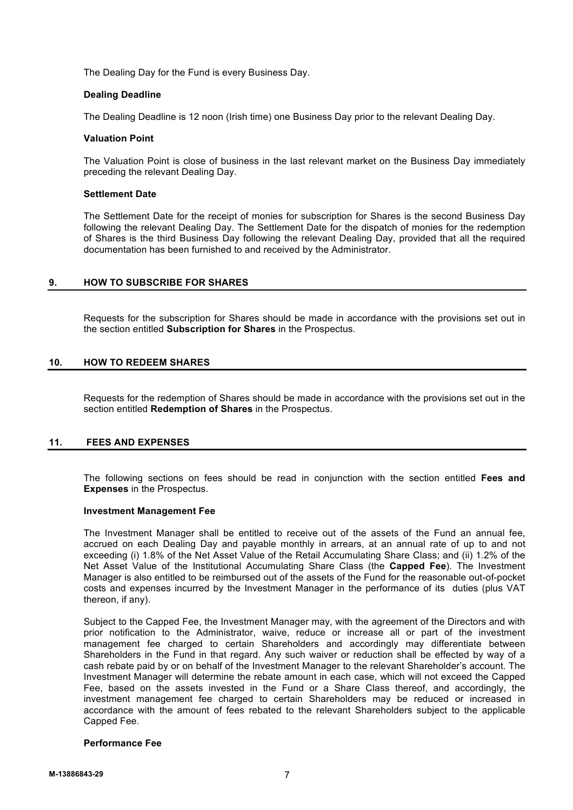The Dealing Day for the Fund is every Business Day.

# **Dealing Deadline**

The Dealing Deadline is 12 noon (Irish time) one Business Day prior to the relevant Dealing Day.

# **Valuation Point**

The Valuation Point is close of business in the last relevant market on the Business Day immediately preceding the relevant Dealing Day.

# **Settlement Date**

The Settlement Date for the receipt of monies for subscription for Shares is the second Business Day following the relevant Dealing Day. The Settlement Date for the dispatch of monies for the redemption of Shares is the third Business Day following the relevant Dealing Day, provided that all the required documentation has been furnished to and received by the Administrator.

# **9. HOW TO SUBSCRIBE FOR SHARES**

Requests for the subscription for Shares should be made in accordance with the provisions set out in the section entitled **Subscription for Shares** in the Prospectus.

# **10. HOW TO REDEEM SHARES**

Requests for the redemption of Shares should be made in accordance with the provisions set out in the section entitled **Redemption of Shares** in the Prospectus.

# **11. FEES AND EXPENSES**

The following sections on fees should be read in conjunction with the section entitled **Fees and Expenses** in the Prospectus.

# **Investment Management Fee**

The Investment Manager shall be entitled to receive out of the assets of the Fund an annual fee, accrued on each Dealing Day and payable monthly in arrears, at an annual rate of up to and not exceeding (i) 1.8% of the Net Asset Value of the Retail Accumulating Share Class; and (ii) 1.2% of the Net Asset Value of the Institutional Accumulating Share Class (the **Capped Fee**). The Investment Manager is also entitled to be reimbursed out of the assets of the Fund for the reasonable out-of-pocket costs and expenses incurred by the Investment Manager in the performance of its duties (plus VAT thereon, if any).

Subject to the Capped Fee, the Investment Manager may, with the agreement of the Directors and with prior notification to the Administrator, waive, reduce or increase all or part of the investment management fee charged to certain Shareholders and accordingly may differentiate between Shareholders in the Fund in that regard. Any such waiver or reduction shall be effected by way of a cash rebate paid by or on behalf of the Investment Manager to the relevant Shareholder's account. The Investment Manager will determine the rebate amount in each case, which will not exceed the Capped Fee, based on the assets invested in the Fund or a Share Class thereof, and accordingly, the investment management fee charged to certain Shareholders may be reduced or increased in accordance with the amount of fees rebated to the relevant Shareholders subject to the applicable Capped Fee.

# **Performance Fee**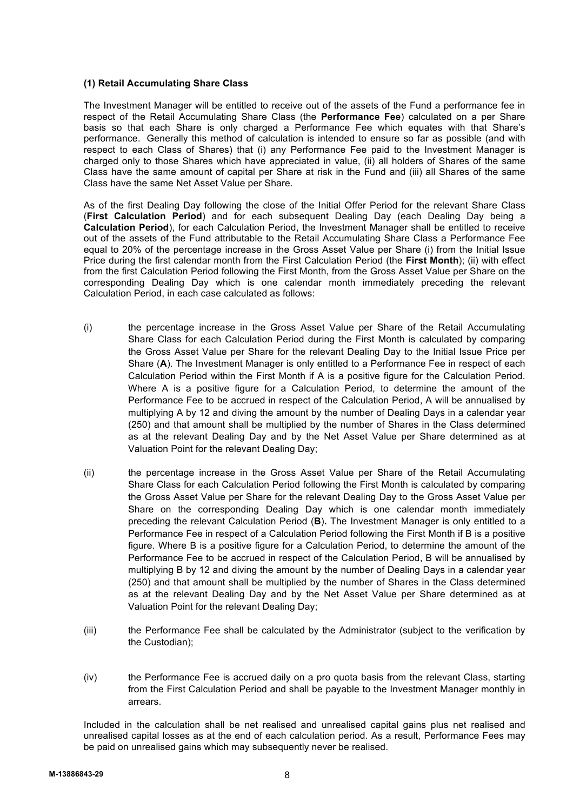# **(1) Retail Accumulating Share Class**

The Investment Manager will be entitled to receive out of the assets of the Fund a performance fee in respect of the Retail Accumulating Share Class (the **Performance Fee**) calculated on a per Share basis so that each Share is only charged a Performance Fee which equates with that Share's performance. Generally this method of calculation is intended to ensure so far as possible (and with respect to each Class of Shares) that (i) any Performance Fee paid to the Investment Manager is charged only to those Shares which have appreciated in value, (ii) all holders of Shares of the same Class have the same amount of capital per Share at risk in the Fund and (iii) all Shares of the same Class have the same Net Asset Value per Share.

As of the first Dealing Day following the close of the Initial Offer Period for the relevant Share Class (**First Calculation Period**) and for each subsequent Dealing Day (each Dealing Day being a **Calculation Period**), for each Calculation Period, the Investment Manager shall be entitled to receive out of the assets of the Fund attributable to the Retail Accumulating Share Class a Performance Fee equal to 20% of the percentage increase in the Gross Asset Value per Share (i) from the Initial Issue Price during the first calendar month from the First Calculation Period (the **First Month**); (ii) with effect from the first Calculation Period following the First Month, from the Gross Asset Value per Share on the corresponding Dealing Day which is one calendar month immediately preceding the relevant Calculation Period, in each case calculated as follows:

- (i) the percentage increase in the Gross Asset Value per Share of the Retail Accumulating Share Class for each Calculation Period during the First Month is calculated by comparing the Gross Asset Value per Share for the relevant Dealing Day to the Initial Issue Price per Share (**A**). The Investment Manager is only entitled to a Performance Fee in respect of each Calculation Period within the First Month if A is a positive figure for the Calculation Period. Where A is a positive figure for a Calculation Period, to determine the amount of the Performance Fee to be accrued in respect of the Calculation Period, A will be annualised by multiplying A by 12 and diving the amount by the number of Dealing Days in a calendar year (250) and that amount shall be multiplied by the number of Shares in the Class determined as at the relevant Dealing Day and by the Net Asset Value per Share determined as at Valuation Point for the relevant Dealing Day;
- (ii) the percentage increase in the Gross Asset Value per Share of the Retail Accumulating Share Class for each Calculation Period following the First Month is calculated by comparing the Gross Asset Value per Share for the relevant Dealing Day to the Gross Asset Value per Share on the corresponding Dealing Day which is one calendar month immediately preceding the relevant Calculation Period (**B**)**.** The Investment Manager is only entitled to a Performance Fee in respect of a Calculation Period following the First Month if B is a positive figure. Where B is a positive figure for a Calculation Period, to determine the amount of the Performance Fee to be accrued in respect of the Calculation Period, B will be annualised by multiplying B by 12 and diving the amount by the number of Dealing Days in a calendar year (250) and that amount shall be multiplied by the number of Shares in the Class determined as at the relevant Dealing Day and by the Net Asset Value per Share determined as at Valuation Point for the relevant Dealing Day;
- (iii) the Performance Fee shall be calculated by the Administrator (subject to the verification by the Custodian);
- (iv) the Performance Fee is accrued daily on a pro quota basis from the relevant Class, starting from the First Calculation Period and shall be payable to the Investment Manager monthly in arrears.

Included in the calculation shall be net realised and unrealised capital gains plus net realised and unrealised capital losses as at the end of each calculation period. As a result, Performance Fees may be paid on unrealised gains which may subsequently never be realised.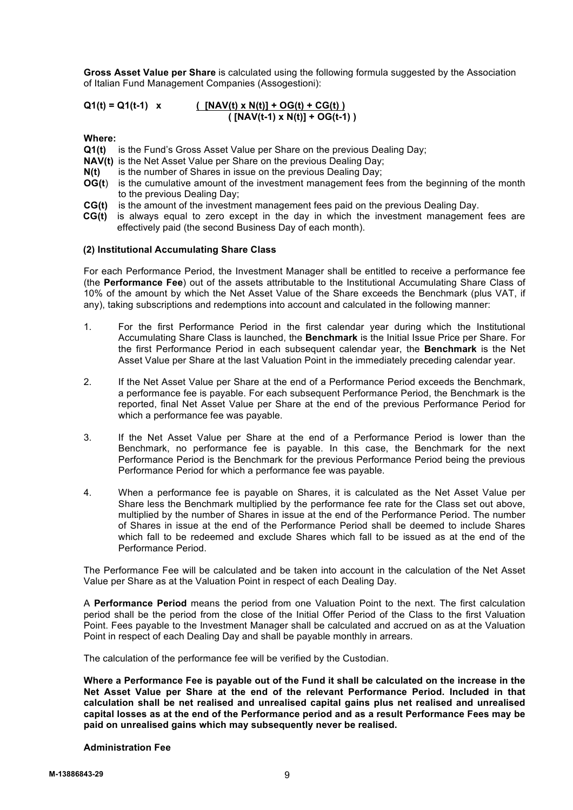**Gross Asset Value per Share** is calculated using the following formula suggested by the Association of Italian Fund Management Companies (Assogestioni):

**Q1(t) = Q1(t-1) x ( [NAV(t) x N(t)] + OG(t) + CG(t) ) ( [NAV(t-1) x N(t)] + OG(t-1) )**

**Where:**

- **Q1(t)** is the Fund's Gross Asset Value per Share on the previous Dealing Day;
- **NAV(t)** is the Net Asset Value per Share on the previous Dealing Day;
- **N(t)** is the number of Shares in issue on the previous Dealing Day;
- **OG(t)** is the cumulative amount of the investment management fees from the beginning of the month to the previous Dealing Day;
- **CG(t)** is the amount of the investment management fees paid on the previous Dealing Day.
- **CG(t)** is always equal to zero except in the day in which the investment management fees are effectively paid (the second Business Day of each month).

#### **(2) Institutional Accumulating Share Class**

For each Performance Period, the Investment Manager shall be entitled to receive a performance fee (the **Performance Fee**) out of the assets attributable to the Institutional Accumulating Share Class of 10% of the amount by which the Net Asset Value of the Share exceeds the Benchmark (plus VAT, if any), taking subscriptions and redemptions into account and calculated in the following manner:

- 1. For the first Performance Period in the first calendar year during which the Institutional Accumulating Share Class is launched, the **Benchmark** is the Initial Issue Price per Share. For the first Performance Period in each subsequent calendar year, the **Benchmark** is the Net Asset Value per Share at the last Valuation Point in the immediately preceding calendar year.
- 2. If the Net Asset Value per Share at the end of a Performance Period exceeds the Benchmark, a performance fee is payable. For each subsequent Performance Period, the Benchmark is the reported, final Net Asset Value per Share at the end of the previous Performance Period for which a performance fee was payable.
- 3. If the Net Asset Value per Share at the end of a Performance Period is lower than the Benchmark, no performance fee is payable. In this case, the Benchmark for the next Performance Period is the Benchmark for the previous Performance Period being the previous Performance Period for which a performance fee was payable.
- 4. When a performance fee is payable on Shares, it is calculated as the Net Asset Value per Share less the Benchmark multiplied by the performance fee rate for the Class set out above, multiplied by the number of Shares in issue at the end of the Performance Period. The number of Shares in issue at the end of the Performance Period shall be deemed to include Shares which fall to be redeemed and exclude Shares which fall to be issued as at the end of the Performance Period.

The Performance Fee will be calculated and be taken into account in the calculation of the Net Asset Value per Share as at the Valuation Point in respect of each Dealing Day.

A **Performance Period** means the period from one Valuation Point to the next. The first calculation period shall be the period from the close of the Initial Offer Period of the Class to the first Valuation Point. Fees payable to the Investment Manager shall be calculated and accrued on as at the Valuation Point in respect of each Dealing Day and shall be payable monthly in arrears.

The calculation of the performance fee will be verified by the Custodian.

**Where a Performance Fee is payable out of the Fund it shall be calculated on the increase in the Net Asset Value per Share at the end of the relevant Performance Period. Included in that calculation shall be net realised and unrealised capital gains plus net realised and unrealised capital losses as at the end of the Performance period and as a result Performance Fees may be paid on unrealised gains which may subsequently never be realised.**

#### **Administration Fee**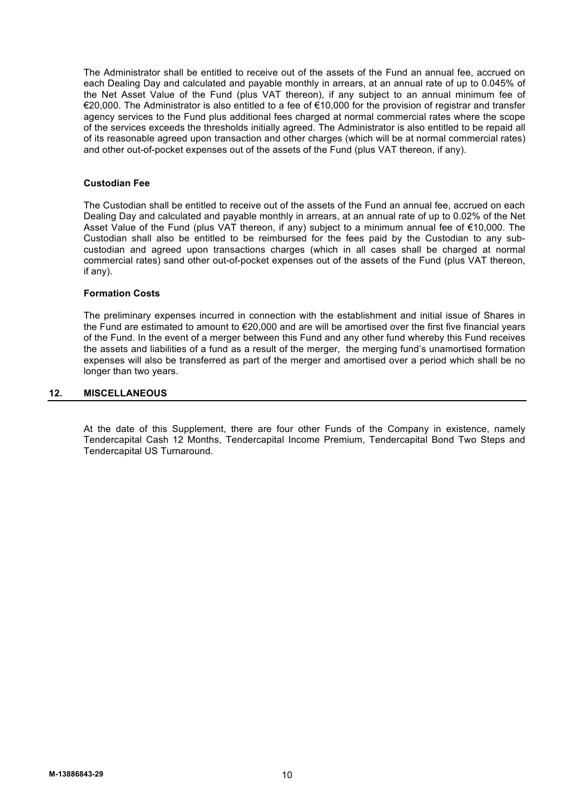The Administrator shall be entitled to receive out of the assets of the Fund an annual fee, accrued on each Dealing Day and calculated and payable monthly in arrears, at an annual rate of up to 0.045% of the Net Asset Value of the Fund (plus VAT thereon), if any subject to an annual minimum fee of €20,000. The Administrator is also entitled to a fee of €10,000 for the provision of registrar and transfer agency services to the Fund plus additional fees charged at normal commercial rates where the scope of the services exceeds the thresholds initially agreed. The Administrator is also entitled to be repaid all of its reasonable agreed upon transaction and other charges (which will be at normal commercial rates) and other out-of-pocket expenses out of the assets of the Fund (plus VAT thereon, if any).

# **Custodian Fee**

The Custodian shall be entitled to receive out of the assets of the Fund an annual fee, accrued on each Dealing Day and calculated and payable monthly in arrears, at an annual rate of up to 0.02% of the Net Asset Value of the Fund (plus VAT thereon, if any) subject to a minimum annual fee of €10,000. The Custodian shall also be entitled to be reimbursed for the fees paid by the Custodian to any subcustodian and agreed upon transactions charges (which in all cases shall be charged at normal commercial rates) sand other out-of-pocket expenses out of the assets of the Fund (plus VAT thereon, if any).

#### **Formation Costs**

The preliminary expenses incurred in connection with the establishment and initial issue of Shares in the Fund are estimated to amount to €20,000 and are will be amortised over the first five financial years of the Fund. In the event of a merger between this Fund and any other fund whereby this Fund receives the assets and liabilities of a fund as a result of the merger, the merging fund's unamortised formation expenses will also be transferred as part of the merger and amortised over a period which shall be no longer than two years.

#### **12. MISCELLANEOUS**

At the date of this Supplement, there are four other Funds of the Company in existence, namely Tendercapital Cash 12 Months, Tendercapital Income Premium, Tendercapital Bond Two Steps and Tendercapital US Turnaround.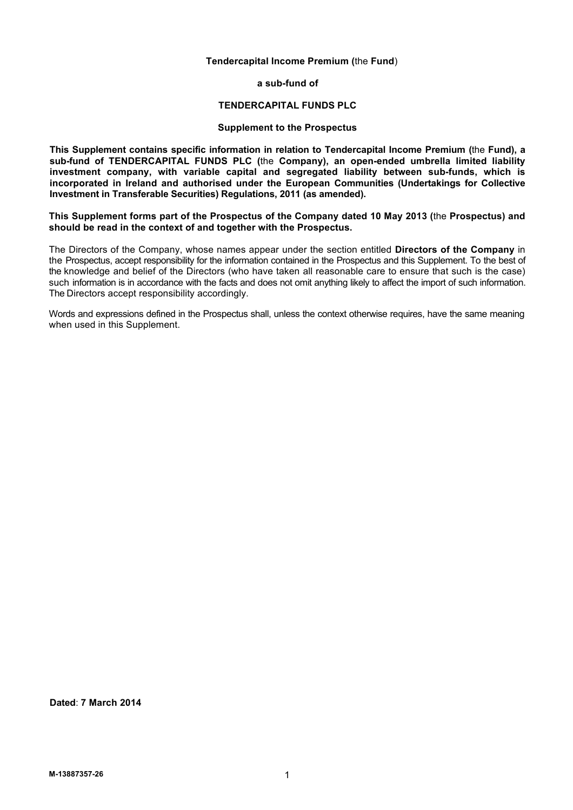# **Tendercapital Income Premium (**the **Fund**)

**a sub-fund of**

#### **TENDERCAPITAL FUNDS PLC**

# **Supplement to the Prospectus**

**This Supplement contains specific information in relation to Tendercapital Income Premium (**the **Fund), a sub-fund of TENDERCAPITAL FUNDS PLC (**the **Company), an open-ended umbrella limited liability investment company, with variable capital and segregated liability between sub-funds, which is incorporated in Ireland and authorised under the European Communities (Undertakings for Collective Investment in Transferable Securities) Regulations, 2011 (as amended).**

**This Supplement forms part of the Prospectus of the Company dated 10 May 2013 (**the **Prospectus) and should be read in the context of and together with the Prospectus.**

The Directors of the Company, whose names appear under the section entitled **Directors of the Company** in the Prospectus, accept responsibility for the information contained in the Prospectus and this Supplement. To the best of the knowledge and belief of the Directors (who have taken all reasonable care to ensure that such is the case) such information is in accordance with the facts and does not omit anything likely to affect the import of such information. The Directors accept responsibility accordingly.

Words and expressions defined in the Prospectus shall, unless the context otherwise requires, have the same meaning when used in this Supplement.

**Dated**: **7 March 2014**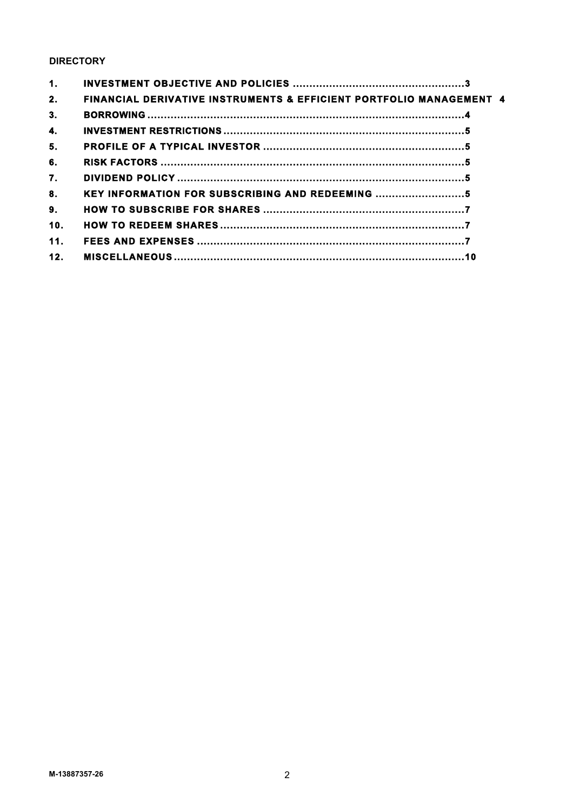# **DIRECTORY**

| 1.              |                                                                                |  |
|-----------------|--------------------------------------------------------------------------------|--|
| 2.              | <b>FINANCIAL DERIVATIVE INSTRUMENTS &amp; EFFICIENT PORTFOLIO MANAGEMENT 4</b> |  |
| 3.              |                                                                                |  |
| 4.              |                                                                                |  |
| 5.              |                                                                                |  |
| 6.              |                                                                                |  |
| 7.              |                                                                                |  |
| 8.              | KEY INFORMATION FOR SUBSCRIBING AND REDEEMING                                  |  |
| 9.              |                                                                                |  |
| 10.             |                                                                                |  |
| 11 <sub>1</sub> |                                                                                |  |
| 12.             |                                                                                |  |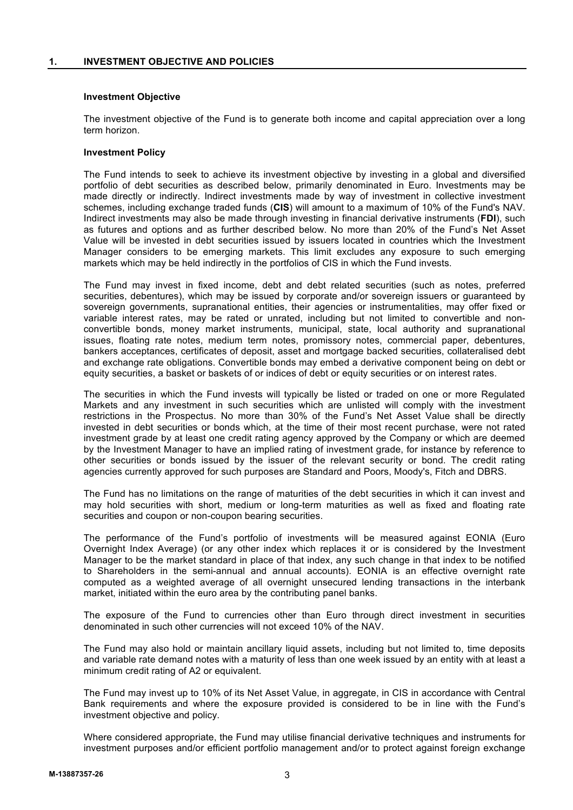# **Investment Objective**

The investment objective of the Fund is to generate both income and capital appreciation over a long term horizon.

# **Investment Policy**

The Fund intends to seek to achieve its investment objective by investing in a global and diversified portfolio of debt securities as described below, primarily denominated in Euro. Investments may be made directly or indirectly. Indirect investments made by way of investment in collective investment schemes, including exchange traded funds (**CIS**) will amount to a maximum of 10% of the Fund's NAV. Indirect investments may also be made through investing in financial derivative instruments (**FDI**), such as futures and options and as further described below. No more than 20% of the Fund's Net Asset Value will be invested in debt securities issued by issuers located in countries which the Investment Manager considers to be emerging markets. This limit excludes any exposure to such emerging markets which may be held indirectly in the portfolios of CIS in which the Fund invests.

The Fund may invest in fixed income, debt and debt related securities (such as notes, preferred securities, debentures), which may be issued by corporate and/or sovereign issuers or guaranteed by sovereign governments, supranational entities, their agencies or instrumentalities, may offer fixed or variable interest rates, may be rated or unrated, including but not limited to convertible and nonconvertible bonds, money market instruments, municipal, state, local authority and supranational issues, floating rate notes, medium term notes, promissory notes, commercial paper, debentures, bankers acceptances, certificates of deposit, asset and mortgage backed securities, collateralised debt and exchange rate obligations. Convertible bonds may embed a derivative component being on debt or equity securities, a basket or baskets of or indices of debt or equity securities or on interest rates.

The securities in which the Fund invests will typically be listed or traded on one or more Regulated Markets and any investment in such securities which are unlisted will comply with the investment restrictions in the Prospectus. No more than 30% of the Fund's Net Asset Value shall be directly invested in debt securities or bonds which, at the time of their most recent purchase, were not rated investment grade by at least one credit rating agency approved by the Company or which are deemed by the Investment Manager to have an implied rating of investment grade, for instance by reference to other securities or bonds issued by the issuer of the relevant security or bond. The credit rating agencies currently approved for such purposes are Standard and Poors, Moody's, Fitch and DBRS.

The Fund has no limitations on the range of maturities of the debt securities in which it can invest and may hold securities with short, medium or long-term maturities as well as fixed and floating rate securities and coupon or non-coupon bearing securities.

The performance of the Fund's portfolio of investments will be measured against EONIA (Euro Overnight Index Average) (or any other index which replaces it or is considered by the Investment Manager to be the market standard in place of that index, any such change in that index to be notified to Shareholders in the semi-annual and annual accounts). EONIA is an effective overnight rate computed as a weighted average of all overnight unsecured lending transactions in the interbank market, initiated within the euro area by the contributing panel banks.

The exposure of the Fund to currencies other than Euro through direct investment in securities denominated in such other currencies will not exceed 10% of the NAV.

The Fund may also hold or maintain ancillary liquid assets, including but not limited to, time deposits and variable rate demand notes with a maturity of less than one week issued by an entity with at least a minimum credit rating of A2 or equivalent.

The Fund may invest up to 10% of its Net Asset Value, in aggregate, in CIS in accordance with Central Bank requirements and where the exposure provided is considered to be in line with the Fund's investment objective and policy.

Where considered appropriate, the Fund may utilise financial derivative techniques and instruments for investment purposes and/or efficient portfolio management and/or to protect against foreign exchange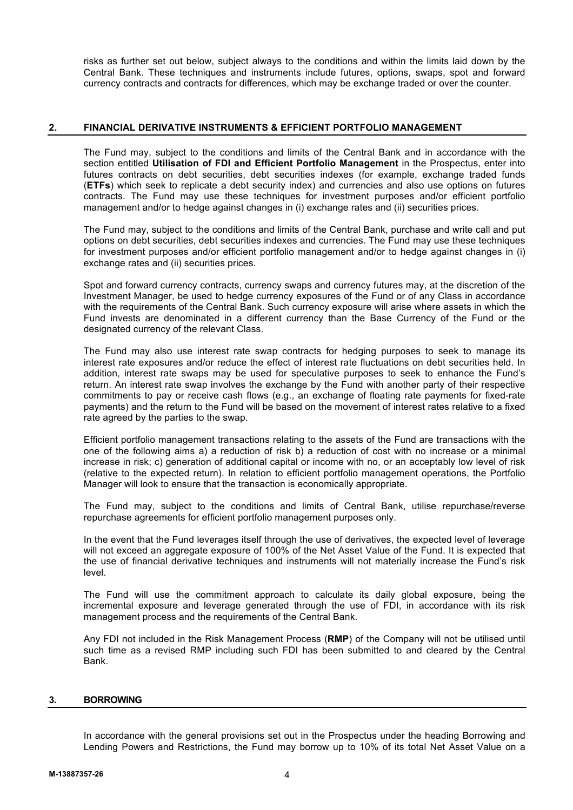risks as further set out below, subject always to the conditions and within the limits laid down by the Central Bank. These techniques and instruments include futures, options, swaps, spot and forward currency contracts and contracts for differences, which may be exchange traded or over the counter.

# **2. FINANCIAL DERIVATIVE INSTRUMENTS & EFFICIENT PORTFOLIO MANAGEMENT**

The Fund may, subject to the conditions and limits of the Central Bank and in accordance with the section entitled **Utilisation of FDI and Efficient Portfolio Management** in the Prospectus, enter into futures contracts on debt securities, debt securities indexes (for example, exchange traded funds (**ETFs**) which seek to replicate a debt security index) and currencies and also use options on futures contracts. The Fund may use these techniques for investment purposes and/or efficient portfolio management and/or to hedge against changes in (i) exchange rates and (ii) securities prices.

The Fund may, subject to the conditions and limits of the Central Bank, purchase and write call and put options on debt securities, debt securities indexes and currencies. The Fund may use these techniques for investment purposes and/or efficient portfolio management and/or to hedge against changes in (i) exchange rates and (ii) securities prices.

Spot and forward currency contracts, currency swaps and currency futures may, at the discretion of the Investment Manager, be used to hedge currency exposures of the Fund or of any Class in accordance with the requirements of the Central Bank. Such currency exposure will arise where assets in which the Fund invests are denominated in a different currency than the Base Currency of the Fund or the designated currency of the relevant Class.

The Fund may also use interest rate swap contracts for hedging purposes to seek to manage its interest rate exposures and/or reduce the effect of interest rate fluctuations on debt securities held. In addition, interest rate swaps may be used for speculative purposes to seek to enhance the Fund's return. An interest rate swap involves the exchange by the Fund with another party of their respective commitments to pay or receive cash flows (e.g., an exchange of floating rate payments for fixed-rate payments) and the return to the Fund will be based on the movement of interest rates relative to a fixed rate agreed by the parties to the swap.

Efficient portfolio management transactions relating to the assets of the Fund are transactions with the one of the following aims a) a reduction of risk b) a reduction of cost with no increase or a minimal increase in risk; c) generation of additional capital or income with no, or an acceptably low level of risk (relative to the expected return). In relation to efficient portfolio management operations, the Portfolio Manager will look to ensure that the transaction is economically appropriate.

The Fund may, subject to the conditions and limits of Central Bank, utilise repurchase/reverse repurchase agreements for efficient portfolio management purposes only.

In the event that the Fund leverages itself through the use of derivatives, the expected level of leverage will not exceed an aggregate exposure of 100% of the Net Asset Value of the Fund. It is expected that the use of financial derivative techniques and instruments will not materially increase the Fund's risk level.

The Fund will use the commitment approach to calculate its daily global exposure, being the incremental exposure and leverage generated through the use of FDI, in accordance with its risk management process and the requirements of the Central Bank.

Any FDI not included in the Risk Management Process (**RMP**) of the Company will not be utilised until such time as a revised RMP including such FDI has been submitted to and cleared by the Central Bank.

# **3. BORROWING**

In accordance with the general provisions set out in the Prospectus under the heading Borrowing and Lending Powers and Restrictions, the Fund may borrow up to 10% of its total Net Asset Value on a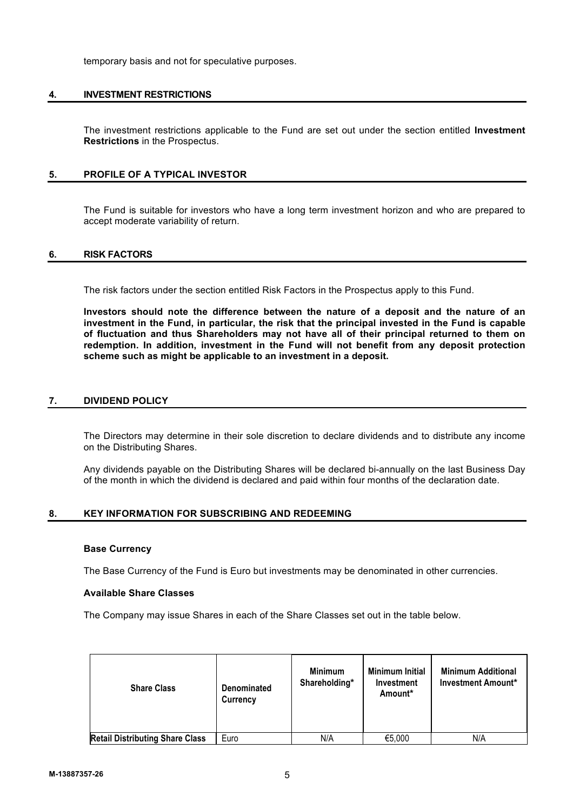temporary basis and not for speculative purposes.

# **4. INVESTMENT RESTRICTIONS**

The investment restrictions applicable to the Fund are set out under the section entitled **Investment Restrictions** in the Prospectus.

# **5. PROFILE OF A TYPICAL INVESTOR**

The Fund is suitable for investors who have a long term investment horizon and who are prepared to accept moderate variability of return.

# **6. RISK FACTORS**

The risk factors under the section entitled Risk Factors in the Prospectus apply to this Fund.

**Investors should note the difference between the nature of a deposit and the nature of an investment in the Fund, in particular, the risk that the principal invested in the Fund is capable of fluctuation and thus Shareholders may not have all of their principal returned to them on redemption. In addition, investment in the Fund will not benefit from any deposit protection scheme such as might be applicable to an investment in a deposit.**

# **7. DIVIDEND POLICY**

The Directors may determine in their sole discretion to declare dividends and to distribute any income on the Distributing Shares.

Any dividends payable on the Distributing Shares will be declared bi-annually on the last Business Day of the month in which the dividend is declared and paid within four months of the declaration date.

# **8. KEY INFORMATION FOR SUBSCRIBING AND REDEEMING**

# **Base Currency**

The Base Currency of the Fund is Euro but investments may be denominated in other currencies.

# **Available Share Classes**

The Company may issue Shares in each of the Share Classes set out in the table below.

| <b>Share Class</b>                     | Denominated<br>Currency | <b>Minimum</b><br>Shareholding* | <b>Minimum Initial</b><br>Investment<br>Amount* | <b>Minimum Additional</b><br><b>Investment Amount*</b> |
|----------------------------------------|-------------------------|---------------------------------|-------------------------------------------------|--------------------------------------------------------|
| <b>Retail Distributing Share Class</b> | Euro                    | N/A                             | €5,000                                          | N/A                                                    |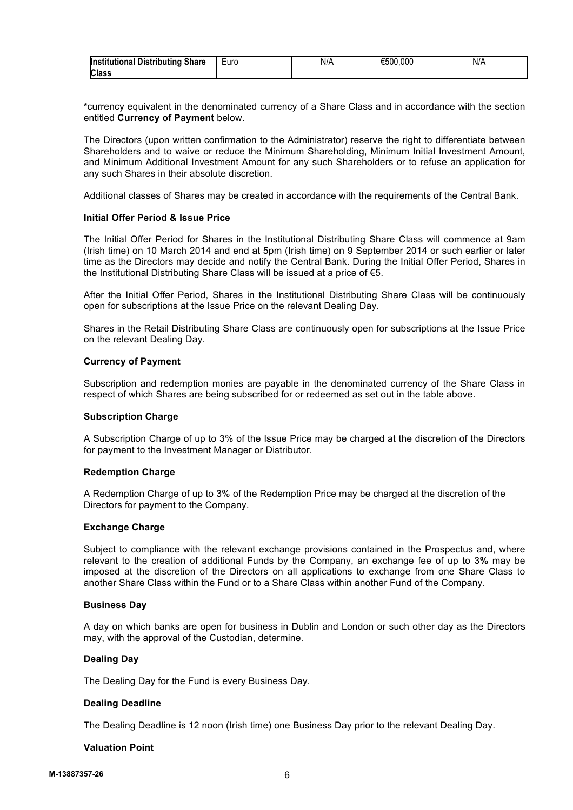| <b>Institutional Distributing Share</b> | <b>Luro</b> | N/L | €500,000 | N/A |
|-----------------------------------------|-------------|-----|----------|-----|
| <b>Class</b>                            |             |     |          |     |

**\***currency equivalent in the denominated currency of a Share Class and in accordance with the section entitled **Currency of Payment** below.

The Directors (upon written confirmation to the Administrator) reserve the right to differentiate between Shareholders and to waive or reduce the Minimum Shareholding, Minimum Initial Investment Amount, and Minimum Additional Investment Amount for any such Shareholders or to refuse an application for any such Shares in their absolute discretion.

Additional classes of Shares may be created in accordance with the requirements of the Central Bank.

# **Initial Offer Period & Issue Price**

The Initial Offer Period for Shares in the Institutional Distributing Share Class will commence at 9am (Irish time) on 10 March 2014 and end at 5pm (Irish time) on 9 September 2014 or such earlier or later time as the Directors may decide and notify the Central Bank. During the Initial Offer Period, Shares in the Institutional Distributing Share Class will be issued at a price of €5.

After the Initial Offer Period, Shares in the Institutional Distributing Share Class will be continuously open for subscriptions at the Issue Price on the relevant Dealing Day.

Shares in the Retail Distributing Share Class are continuously open for subscriptions at the Issue Price on the relevant Dealing Day.

#### **Currency of Payment**

Subscription and redemption monies are payable in the denominated currency of the Share Class in respect of which Shares are being subscribed for or redeemed as set out in the table above.

#### **Subscription Charge**

A Subscription Charge of up to 3% of the Issue Price may be charged at the discretion of the Directors for payment to the Investment Manager or Distributor.

#### **Redemption Charge**

A Redemption Charge of up to 3% of the Redemption Price may be charged at the discretion of the Directors for payment to the Company.

# **Exchange Charge**

Subject to compliance with the relevant exchange provisions contained in the Prospectus and, where relevant to the creation of additional Funds by the Company, an exchange fee of up to 3**%** may be imposed at the discretion of the Directors on all applications to exchange from one Share Class to another Share Class within the Fund or to a Share Class within another Fund of the Company.

#### **Business Day**

A day on which banks are open for business in Dublin and London or such other day as the Directors may, with the approval of the Custodian, determine.

# **Dealing Day**

The Dealing Day for the Fund is every Business Day.

# **Dealing Deadline**

The Dealing Deadline is 12 noon (Irish time) one Business Day prior to the relevant Dealing Day.

# **Valuation Point**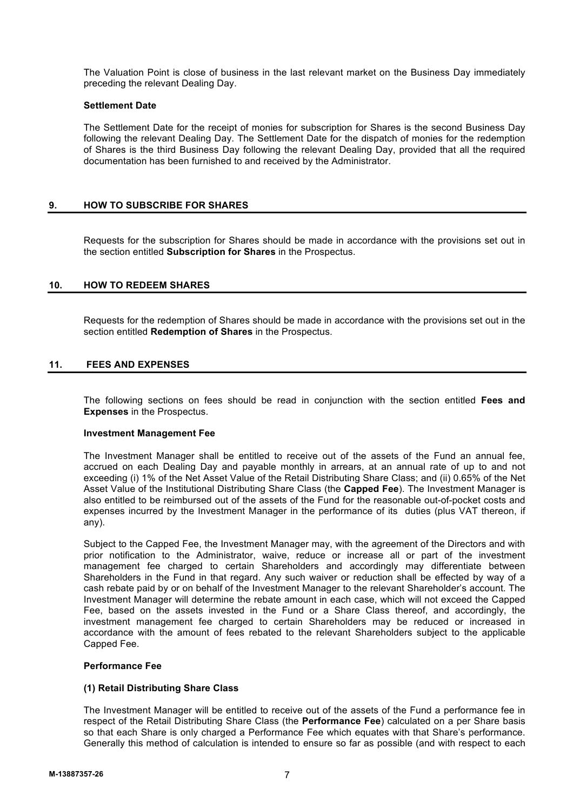The Valuation Point is close of business in the last relevant market on the Business Day immediately preceding the relevant Dealing Day.

# **Settlement Date**

The Settlement Date for the receipt of monies for subscription for Shares is the second Business Day following the relevant Dealing Day. The Settlement Date for the dispatch of monies for the redemption of Shares is the third Business Day following the relevant Dealing Day, provided that all the required documentation has been furnished to and received by the Administrator.

# **9. HOW TO SUBSCRIBE FOR SHARES**

Requests for the subscription for Shares should be made in accordance with the provisions set out in the section entitled **Subscription for Shares** in the Prospectus.

# **10. HOW TO REDEEM SHARES**

Requests for the redemption of Shares should be made in accordance with the provisions set out in the section entitled **Redemption of Shares** in the Prospectus.

# **11. FEES AND EXPENSES**

The following sections on fees should be read in conjunction with the section entitled **Fees and Expenses** in the Prospectus.

# **Investment Management Fee**

The Investment Manager shall be entitled to receive out of the assets of the Fund an annual fee, accrued on each Dealing Day and payable monthly in arrears, at an annual rate of up to and not exceeding (i) 1% of the Net Asset Value of the Retail Distributing Share Class; and (ii) 0.65% of the Net Asset Value of the Institutional Distributing Share Class (the **Capped Fee**). The Investment Manager is also entitled to be reimbursed out of the assets of the Fund for the reasonable out-of-pocket costs and expenses incurred by the Investment Manager in the performance of its duties (plus VAT thereon, if any).

Subject to the Capped Fee, the Investment Manager may, with the agreement of the Directors and with prior notification to the Administrator, waive, reduce or increase all or part of the investment management fee charged to certain Shareholders and accordingly may differentiate between Shareholders in the Fund in that regard. Any such waiver or reduction shall be effected by way of a cash rebate paid by or on behalf of the Investment Manager to the relevant Shareholder's account. The Investment Manager will determine the rebate amount in each case, which will not exceed the Capped Fee, based on the assets invested in the Fund or a Share Class thereof, and accordingly, the investment management fee charged to certain Shareholders may be reduced or increased in accordance with the amount of fees rebated to the relevant Shareholders subject to the applicable Capped Fee.

# **Performance Fee**

# **(1) Retail Distributing Share Class**

The Investment Manager will be entitled to receive out of the assets of the Fund a performance fee in respect of the Retail Distributing Share Class (the **Performance Fee**) calculated on a per Share basis so that each Share is only charged a Performance Fee which equates with that Share's performance. Generally this method of calculation is intended to ensure so far as possible (and with respect to each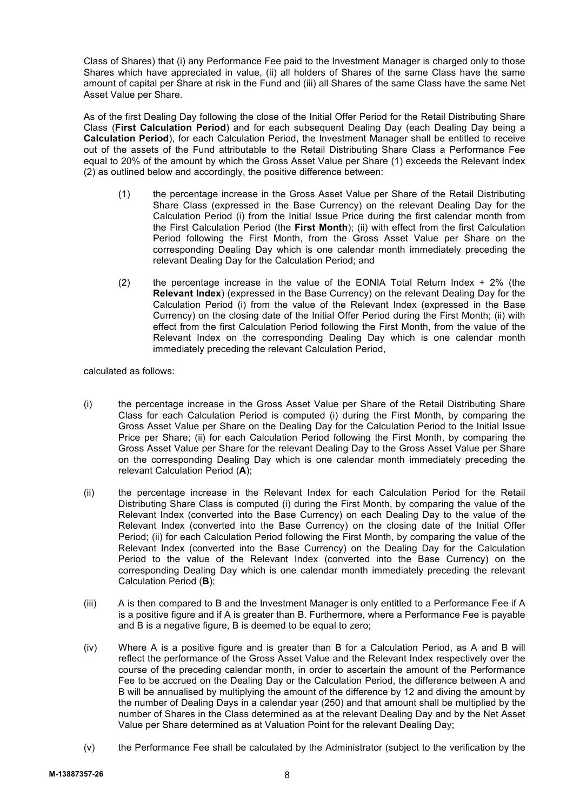Class of Shares) that (i) any Performance Fee paid to the Investment Manager is charged only to those Shares which have appreciated in value, (ii) all holders of Shares of the same Class have the same amount of capital per Share at risk in the Fund and (iii) all Shares of the same Class have the same Net Asset Value per Share.

As of the first Dealing Day following the close of the Initial Offer Period for the Retail Distributing Share Class (**First Calculation Period**) and for each subsequent Dealing Day (each Dealing Day being a **Calculation Period**), for each Calculation Period, the Investment Manager shall be entitled to receive out of the assets of the Fund attributable to the Retail Distributing Share Class a Performance Fee equal to 20% of the amount by which the Gross Asset Value per Share (1) exceeds the Relevant Index (2) as outlined below and accordingly, the positive difference between:

- (1) the percentage increase in the Gross Asset Value per Share of the Retail Distributing Share Class (expressed in the Base Currency) on the relevant Dealing Day for the Calculation Period (i) from the Initial Issue Price during the first calendar month from the First Calculation Period (the **First Month**); (ii) with effect from the first Calculation Period following the First Month, from the Gross Asset Value per Share on the corresponding Dealing Day which is one calendar month immediately preceding the relevant Dealing Day for the Calculation Period; and
- (2) the percentage increase in the value of the EONIA Total Return Index  $+2\%$  (the **Relevant Index**) (expressed in the Base Currency) on the relevant Dealing Day for the Calculation Period (i) from the value of the Relevant Index (expressed in the Base Currency) on the closing date of the Initial Offer Period during the First Month; (ii) with effect from the first Calculation Period following the First Month, from the value of the Relevant Index on the corresponding Dealing Day which is one calendar month immediately preceding the relevant Calculation Period,

calculated as follows:

- (i) the percentage increase in the Gross Asset Value per Share of the Retail Distributing Share Class for each Calculation Period is computed (i) during the First Month, by comparing the Gross Asset Value per Share on the Dealing Day for the Calculation Period to the Initial Issue Price per Share; (ii) for each Calculation Period following the First Month, by comparing the Gross Asset Value per Share for the relevant Dealing Day to the Gross Asset Value per Share on the corresponding Dealing Day which is one calendar month immediately preceding the relevant Calculation Period (**A**);
- (ii) the percentage increase in the Relevant Index for each Calculation Period for the Retail Distributing Share Class is computed (i) during the First Month, by comparing the value of the Relevant Index (converted into the Base Currency) on each Dealing Day to the value of the Relevant Index (converted into the Base Currency) on the closing date of the Initial Offer Period; (ii) for each Calculation Period following the First Month, by comparing the value of the Relevant Index (converted into the Base Currency) on the Dealing Day for the Calculation Period to the value of the Relevant Index (converted into the Base Currency) on the corresponding Dealing Day which is one calendar month immediately preceding the relevant Calculation Period (**B**);
- (iii) A is then compared to B and the Investment Manager is only entitled to a Performance Fee if A is a positive figure and if A is greater than B. Furthermore, where a Performance Fee is payable and B is a negative figure, B is deemed to be equal to zero;
- (iv) Where A is a positive figure and is greater than B for a Calculation Period, as A and B will reflect the performance of the Gross Asset Value and the Relevant Index respectively over the course of the preceding calendar month, in order to ascertain the amount of the Performance Fee to be accrued on the Dealing Day or the Calculation Period, the difference between A and B will be annualised by multiplying the amount of the difference by 12 and diving the amount by the number of Dealing Days in a calendar year (250) and that amount shall be multiplied by the number of Shares in the Class determined as at the relevant Dealing Day and by the Net Asset Value per Share determined as at Valuation Point for the relevant Dealing Day;
- (v) the Performance Fee shall be calculated by the Administrator (subject to the verification by the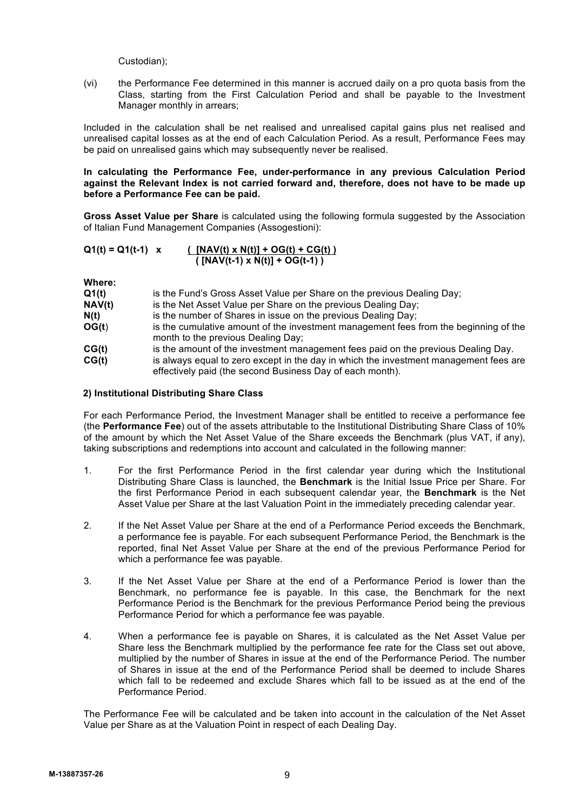Custodian);

(vi) the Performance Fee determined in this manner is accrued daily on a pro quota basis from the Class, starting from the First Calculation Period and shall be payable to the Investment Manager monthly in arrears;

Included in the calculation shall be net realised and unrealised capital gains plus net realised and unrealised capital losses as at the end of each Calculation Period. As a result, Performance Fees may be paid on unrealised gains which may subsequently never be realised.

**In calculating the Performance Fee, under-performance in any previous Calculation Period against the Relevant Index is not carried forward and, therefore, does not have to be made up before a Performance Fee can be paid.**

**Gross Asset Value per Share** is calculated using the following formula suggested by the Association of Italian Fund Management Companies (Assogestioni):

$$
Q1(t) = Q1(t-1) \times \frac{[NAV(t) \times N(t)] + OG(t) + CG(t))}{([NAV(t-1) \times N(t)] + OG(t-1))}
$$

**Where:**

| Q1(t)  | is the Fund's Gross Asset Value per Share on the previous Dealing Day;                                                                             |
|--------|----------------------------------------------------------------------------------------------------------------------------------------------------|
| NAV(t) | is the Net Asset Value per Share on the previous Dealing Day;                                                                                      |
| N(t)   | is the number of Shares in issue on the previous Dealing Day;                                                                                      |
| OG(t)  | is the cumulative amount of the investment management fees from the beginning of the<br>month to the previous Dealing Day;                         |
| CG(t)  | is the amount of the investment management fees paid on the previous Dealing Day.                                                                  |
| CG(t)  | is always equal to zero except in the day in which the investment management fees are<br>effectively paid (the second Business Day of each month). |

# **2) Institutional Distributing Share Class**

For each Performance Period, the Investment Manager shall be entitled to receive a performance fee (the **Performance Fee**) out of the assets attributable to the Institutional Distributing Share Class of 10% of the amount by which the Net Asset Value of the Share exceeds the Benchmark (plus VAT, if any), taking subscriptions and redemptions into account and calculated in the following manner:

- 1. For the first Performance Period in the first calendar year during which the Institutional Distributing Share Class is launched, the **Benchmark** is the Initial Issue Price per Share. For the first Performance Period in each subsequent calendar year, the **Benchmark** is the Net Asset Value per Share at the last Valuation Point in the immediately preceding calendar year.
- 2. If the Net Asset Value per Share at the end of a Performance Period exceeds the Benchmark, a performance fee is payable. For each subsequent Performance Period, the Benchmark is the reported, final Net Asset Value per Share at the end of the previous Performance Period for which a performance fee was payable.
- 3. If the Net Asset Value per Share at the end of a Performance Period is lower than the Benchmark, no performance fee is payable. In this case, the Benchmark for the next Performance Period is the Benchmark for the previous Performance Period being the previous Performance Period for which a performance fee was payable.
- 4. When a performance fee is payable on Shares, it is calculated as the Net Asset Value per Share less the Benchmark multiplied by the performance fee rate for the Class set out above, multiplied by the number of Shares in issue at the end of the Performance Period. The number of Shares in issue at the end of the Performance Period shall be deemed to include Shares which fall to be redeemed and exclude Shares which fall to be issued as at the end of the Performance Period.

The Performance Fee will be calculated and be taken into account in the calculation of the Net Asset Value per Share as at the Valuation Point in respect of each Dealing Day.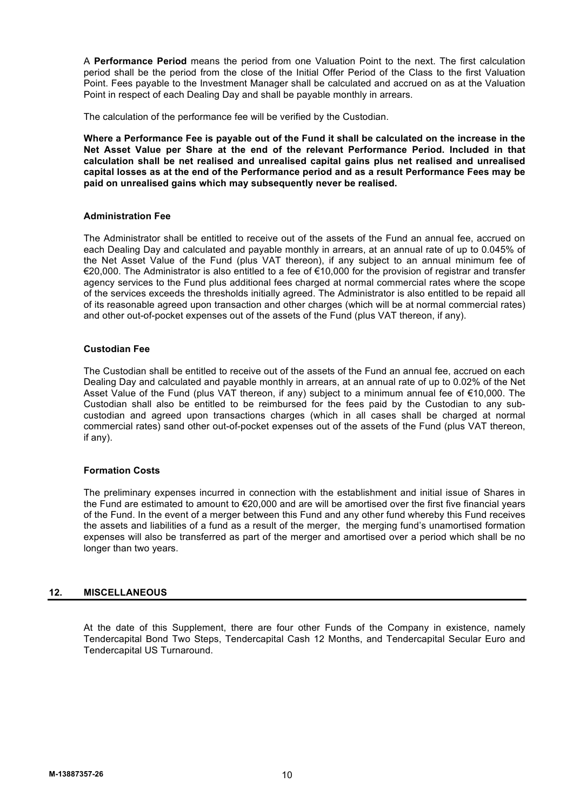A **Performance Period** means the period from one Valuation Point to the next. The first calculation period shall be the period from the close of the Initial Offer Period of the Class to the first Valuation Point. Fees payable to the Investment Manager shall be calculated and accrued on as at the Valuation Point in respect of each Dealing Day and shall be payable monthly in arrears.

The calculation of the performance fee will be verified by the Custodian.

**Where a Performance Fee is payable out of the Fund it shall be calculated on the increase in the Net Asset Value per Share at the end of the relevant Performance Period. Included in that calculation shall be net realised and unrealised capital gains plus net realised and unrealised capital losses as at the end of the Performance period and as a result Performance Fees may be paid on unrealised gains which may subsequently never be realised.**

# **Administration Fee**

The Administrator shall be entitled to receive out of the assets of the Fund an annual fee, accrued on each Dealing Day and calculated and payable monthly in arrears, at an annual rate of up to 0.045% of the Net Asset Value of the Fund (plus VAT thereon), if any subject to an annual minimum fee of €20,000. The Administrator is also entitled to a fee of €10,000 for the provision of registrar and transfer agency services to the Fund plus additional fees charged at normal commercial rates where the scope of the services exceeds the thresholds initially agreed. The Administrator is also entitled to be repaid all of its reasonable agreed upon transaction and other charges (which will be at normal commercial rates) and other out-of-pocket expenses out of the assets of the Fund (plus VAT thereon, if any).

# **Custodian Fee**

The Custodian shall be entitled to receive out of the assets of the Fund an annual fee, accrued on each Dealing Day and calculated and payable monthly in arrears, at an annual rate of up to 0.02% of the Net Asset Value of the Fund (plus VAT thereon, if any) subject to a minimum annual fee of €10,000. The Custodian shall also be entitled to be reimbursed for the fees paid by the Custodian to any subcustodian and agreed upon transactions charges (which in all cases shall be charged at normal commercial rates) sand other out-of-pocket expenses out of the assets of the Fund (plus VAT thereon, if any).

# **Formation Costs**

The preliminary expenses incurred in connection with the establishment and initial issue of Shares in the Fund are estimated to amount to €20,000 and are will be amortised over the first five financial years of the Fund. In the event of a merger between this Fund and any other fund whereby this Fund receives the assets and liabilities of a fund as a result of the merger, the merging fund's unamortised formation expenses will also be transferred as part of the merger and amortised over a period which shall be no longer than two years.

# **12. MISCELLANEOUS**

At the date of this Supplement, there are four other Funds of the Company in existence, namely Tendercapital Bond Two Steps, Tendercapital Cash 12 Months, and Tendercapital Secular Euro and Tendercapital US Turnaround.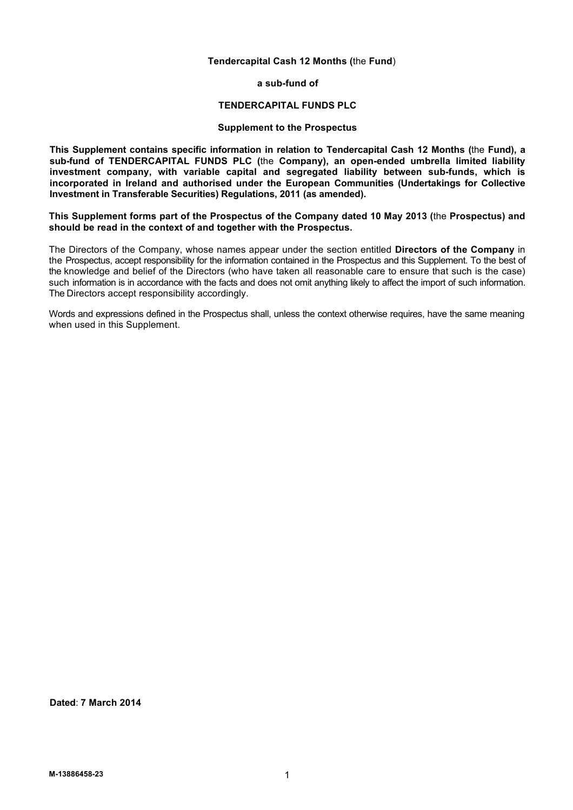# **Tendercapital Cash 12 Months (**the **Fund**)

**a sub-fund of**

#### **TENDERCAPITAL FUNDS PLC**

# **Supplement to the Prospectus**

**This Supplement contains specific information in relation to Tendercapital Cash 12 Months (**the **Fund), a sub-fund of TENDERCAPITAL FUNDS PLC (**the **Company), an open-ended umbrella limited liability investment company, with variable capital and segregated liability between sub-funds, which is incorporated in Ireland and authorised under the European Communities (Undertakings for Collective Investment in Transferable Securities) Regulations, 2011 (as amended).**

**This Supplement forms part of the Prospectus of the Company dated 10 May 2013 (**the **Prospectus) and should be read in the context of and together with the Prospectus.**

The Directors of the Company, whose names appear under the section entitled **Directors of the Company** in the Prospectus, accept responsibility for the information contained in the Prospectus and this Supplement. To the best of the knowledge and belief of the Directors (who have taken all reasonable care to ensure that such is the case) such information is in accordance with the facts and does not omit anything likely to affect the import of such information. The Directors accept responsibility accordingly.

Words and expressions defined in the Prospectus shall, unless the context otherwise requires, have the same meaning when used in this Supplement.

**Dated**: **7 March 2014**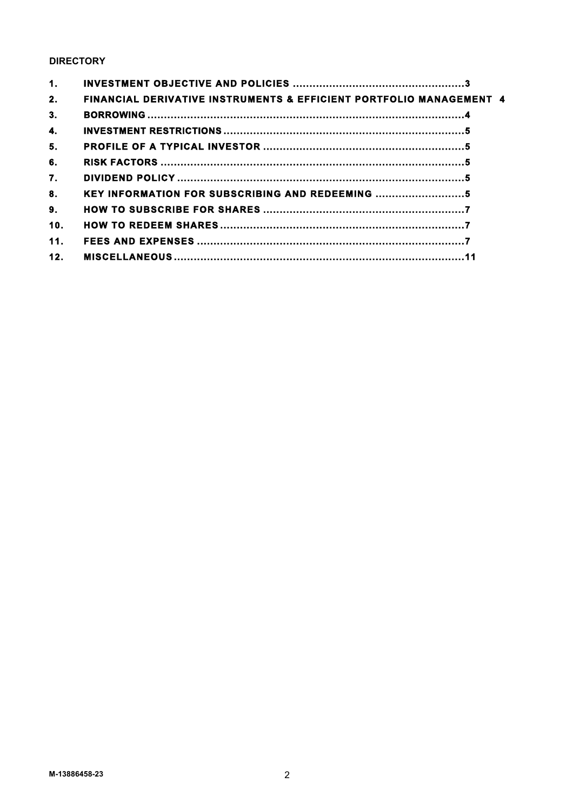# **DIRECTORY**

| 1.  |                                                                                |  |
|-----|--------------------------------------------------------------------------------|--|
| 2.  | <b>FINANCIAL DERIVATIVE INSTRUMENTS &amp; EFFICIENT PORTFOLIO MANAGEMENT 4</b> |  |
| 3.  |                                                                                |  |
| 4.  |                                                                                |  |
| 5.  |                                                                                |  |
| 6.  |                                                                                |  |
| 7.  |                                                                                |  |
| 8.  | KEY INFORMATION FOR SUBSCRIBING AND REDEEMING                                  |  |
| 9.  |                                                                                |  |
| 10. |                                                                                |  |
| 11. |                                                                                |  |
| 12. |                                                                                |  |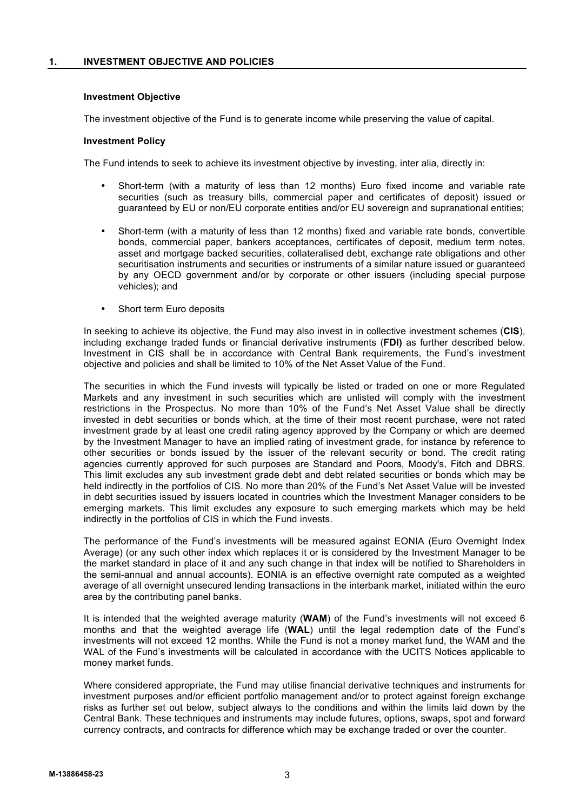# **Investment Objective**

The investment objective of the Fund is to generate income while preserving the value of capital.

# **Investment Policy**

The Fund intends to seek to achieve its investment objective by investing, inter alia, directly in:

- Short-term (with a maturity of less than 12 months) Euro fixed income and variable rate securities (such as treasury bills, commercial paper and certificates of deposit) issued or guaranteed by EU or non/EU corporate entities and/or EU sovereign and supranational entities;
- Short-term (with a maturity of less than 12 months) fixed and variable rate bonds, convertible bonds, commercial paper, bankers acceptances, certificates of deposit, medium term notes, asset and mortgage backed securities, collateralised debt, exchange rate obligations and other securitisation instruments and securities or instruments of a similar nature issued or guaranteed by any OECD government and/or by corporate or other issuers (including special purpose vehicles); and
- Short term Euro deposits

In seeking to achieve its objective, the Fund may also invest in in collective investment schemes (**CIS**), including exchange traded funds or financial derivative instruments (**FDI)** as further described below. Investment in CIS shall be in accordance with Central Bank requirements, the Fund's investment objective and policies and shall be limited to 10% of the Net Asset Value of the Fund.

The securities in which the Fund invests will typically be listed or traded on one or more Regulated Markets and any investment in such securities which are unlisted will comply with the investment restrictions in the Prospectus. No more than 10% of the Fund's Net Asset Value shall be directly invested in debt securities or bonds which, at the time of their most recent purchase, were not rated investment grade by at least one credit rating agency approved by the Company or which are deemed by the Investment Manager to have an implied rating of investment grade, for instance by reference to other securities or bonds issued by the issuer of the relevant security or bond. The credit rating agencies currently approved for such purposes are Standard and Poors, Moody's, Fitch and DBRS. This limit excludes any sub investment grade debt and debt related securities or bonds which may be held indirectly in the portfolios of CIS. No more than 20% of the Fund's Net Asset Value will be invested in debt securities issued by issuers located in countries which the Investment Manager considers to be emerging markets. This limit excludes any exposure to such emerging markets which may be held indirectly in the portfolios of CIS in which the Fund invests.

The performance of the Fund's investments will be measured against EONIA (Euro Overnight Index Average) (or any such other index which replaces it or is considered by the Investment Manager to be the market standard in place of it and any such change in that index will be notified to Shareholders in the semi-annual and annual accounts). EONIA is an effective overnight rate computed as a weighted average of all overnight unsecured lending transactions in the interbank market, initiated within the euro area by the contributing panel banks.

It is intended that the weighted average maturity (**WAM**) of the Fund's investments will not exceed 6 months and that the weighted average life (**WAL**) until the legal redemption date of the Fund's investments will not exceed 12 months. While the Fund is not a money market fund, the WAM and the WAL of the Fund's investments will be calculated in accordance with the UCITS Notices applicable to money market funds.

Where considered appropriate, the Fund may utilise financial derivative techniques and instruments for investment purposes and/or efficient portfolio management and/or to protect against foreign exchange risks as further set out below, subject always to the conditions and within the limits laid down by the Central Bank. These techniques and instruments may include futures, options, swaps, spot and forward currency contracts, and contracts for difference which may be exchange traded or over the counter.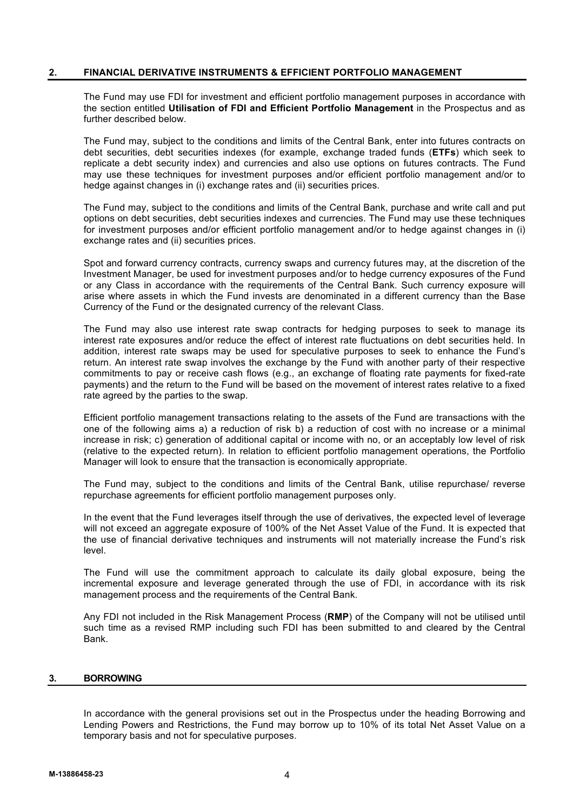# **2. FINANCIAL DERIVATIVE INSTRUMENTS & EFFICIENT PORTFOLIO MANAGEMENT**

The Fund may use FDI for investment and efficient portfolio management purposes in accordance with the section entitled **Utilisation of FDI and Efficient Portfolio Management** in the Prospectus and as further described below.

The Fund may, subject to the conditions and limits of the Central Bank, enter into futures contracts on debt securities, debt securities indexes (for example, exchange traded funds (**ETFs**) which seek to replicate a debt security index) and currencies and also use options on futures contracts. The Fund may use these techniques for investment purposes and/or efficient portfolio management and/or to hedge against changes in (i) exchange rates and (ii) securities prices.

The Fund may, subject to the conditions and limits of the Central Bank, purchase and write call and put options on debt securities, debt securities indexes and currencies. The Fund may use these techniques for investment purposes and/or efficient portfolio management and/or to hedge against changes in (i) exchange rates and (ii) securities prices.

Spot and forward currency contracts, currency swaps and currency futures may, at the discretion of the Investment Manager, be used for investment purposes and/or to hedge currency exposures of the Fund or any Class in accordance with the requirements of the Central Bank. Such currency exposure will arise where assets in which the Fund invests are denominated in a different currency than the Base Currency of the Fund or the designated currency of the relevant Class.

The Fund may also use interest rate swap contracts for hedging purposes to seek to manage its interest rate exposures and/or reduce the effect of interest rate fluctuations on debt securities held. In addition, interest rate swaps may be used for speculative purposes to seek to enhance the Fund's return. An interest rate swap involves the exchange by the Fund with another party of their respective commitments to pay or receive cash flows (e.g., an exchange of floating rate payments for fixed-rate payments) and the return to the Fund will be based on the movement of interest rates relative to a fixed rate agreed by the parties to the swap.

Efficient portfolio management transactions relating to the assets of the Fund are transactions with the one of the following aims a) a reduction of risk b) a reduction of cost with no increase or a minimal increase in risk; c) generation of additional capital or income with no, or an acceptably low level of risk (relative to the expected return). In relation to efficient portfolio management operations, the Portfolio Manager will look to ensure that the transaction is economically appropriate.

The Fund may, subject to the conditions and limits of the Central Bank, utilise repurchase/ reverse repurchase agreements for efficient portfolio management purposes only.

In the event that the Fund leverages itself through the use of derivatives, the expected level of leverage will not exceed an aggregate exposure of 100% of the Net Asset Value of the Fund. It is expected that the use of financial derivative techniques and instruments will not materially increase the Fund's risk level.

The Fund will use the commitment approach to calculate its daily global exposure, being the incremental exposure and leverage generated through the use of FDI, in accordance with its risk management process and the requirements of the Central Bank.

Any FDI not included in the Risk Management Process (**RMP**) of the Company will not be utilised until such time as a revised RMP including such FDI has been submitted to and cleared by the Central Bank.

# **3. BORROWING**

In accordance with the general provisions set out in the Prospectus under the heading Borrowing and Lending Powers and Restrictions, the Fund may borrow up to 10% of its total Net Asset Value on a temporary basis and not for speculative purposes.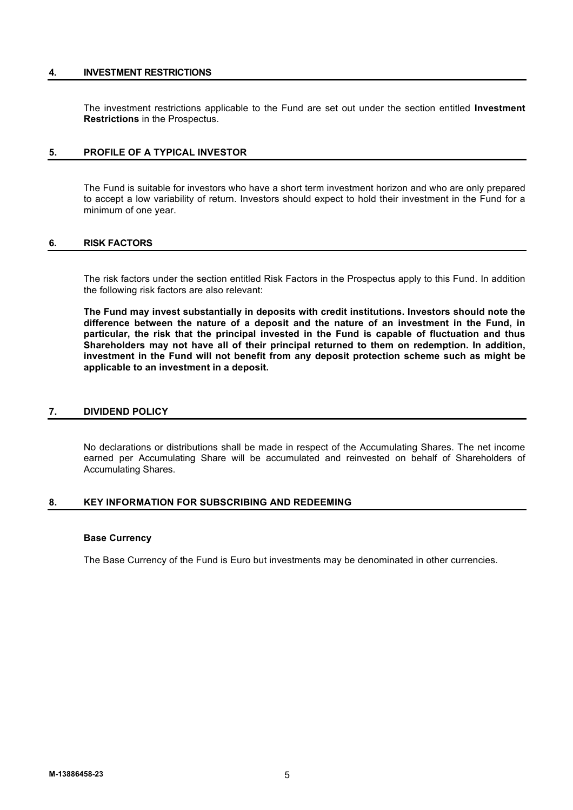# **4. INVESTMENT RESTRICTIONS**

The investment restrictions applicable to the Fund are set out under the section entitled **Investment Restrictions** in the Prospectus.

# **5. PROFILE OF A TYPICAL INVESTOR**

The Fund is suitable for investors who have a short term investment horizon and who are only prepared to accept a low variability of return. Investors should expect to hold their investment in the Fund for a minimum of one year.

# **6. RISK FACTORS**

The risk factors under the section entitled Risk Factors in the Prospectus apply to this Fund. In addition the following risk factors are also relevant:

**The Fund may invest substantially in deposits with credit institutions. Investors should note the difference between the nature of a deposit and the nature of an investment in the Fund, in particular, the risk that the principal invested in the Fund is capable of fluctuation and thus Shareholders may not have all of their principal returned to them on redemption. In addition, investment in the Fund will not benefit from any deposit protection scheme such as might be applicable to an investment in a deposit.**

# **7. DIVIDEND POLICY**

No declarations or distributions shall be made in respect of the Accumulating Shares. The net income earned per Accumulating Share will be accumulated and reinvested on behalf of Shareholders of Accumulating Shares.

# **8. KEY INFORMATION FOR SUBSCRIBING AND REDEEMING**

# **Base Currency**

The Base Currency of the Fund is Euro but investments may be denominated in other currencies.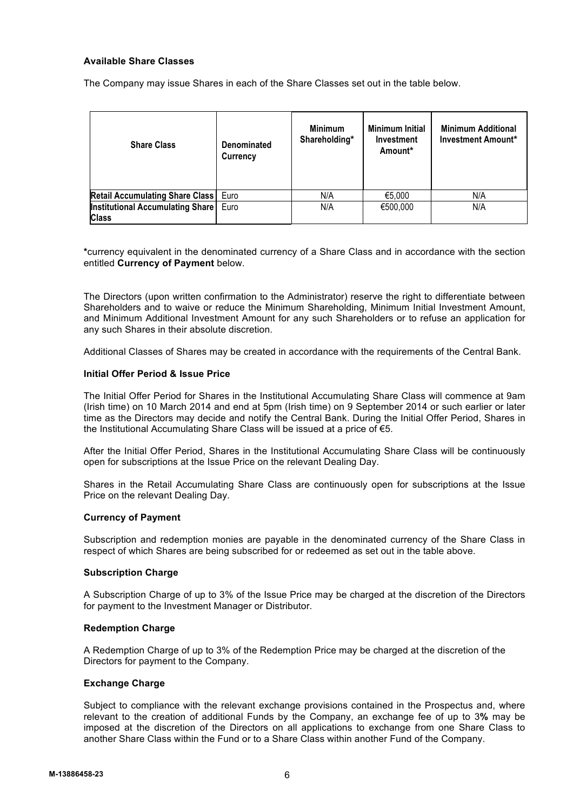# **Available Share Classes**

The Company may issue Shares in each of the Share Classes set out in the table below.

| <b>Share Class</b>                                      | <b>Denominated</b><br>Currency | <b>Minimum</b><br>Shareholding* | <b>Minimum Initial</b><br>Investment<br>Amount* | <b>Minimum Additional</b><br><b>Investment Amount*</b> |
|---------------------------------------------------------|--------------------------------|---------------------------------|-------------------------------------------------|--------------------------------------------------------|
| <b>Retail Accumulating Share Class</b>                  | Euro                           | N/A                             | €5,000                                          | N/A                                                    |
| <b>Institutional Accumulating Share</b><br><b>Class</b> | Euro                           | N/A                             | €500,000                                        | N/A                                                    |

**\***currency equivalent in the denominated currency of a Share Class and in accordance with the section entitled **Currency of Payment** below.

The Directors (upon written confirmation to the Administrator) reserve the right to differentiate between Shareholders and to waive or reduce the Minimum Shareholding, Minimum Initial Investment Amount, and Minimum Additional Investment Amount for any such Shareholders or to refuse an application for any such Shares in their absolute discretion.

Additional Classes of Shares may be created in accordance with the requirements of the Central Bank.

# **Initial Offer Period & Issue Price**

The Initial Offer Period for Shares in the Institutional Accumulating Share Class will commence at 9am (Irish time) on 10 March 2014 and end at 5pm (Irish time) on 9 September 2014 or such earlier or later time as the Directors may decide and notify the Central Bank. During the Initial Offer Period, Shares in the Institutional Accumulating Share Class will be issued at a price of €5.

After the Initial Offer Period, Shares in the Institutional Accumulating Share Class will be continuously open for subscriptions at the Issue Price on the relevant Dealing Day.

Shares in the Retail Accumulating Share Class are continuously open for subscriptions at the Issue Price on the relevant Dealing Day.

# **Currency of Payment**

Subscription and redemption monies are payable in the denominated currency of the Share Class in respect of which Shares are being subscribed for or redeemed as set out in the table above.

# **Subscription Charge**

A Subscription Charge of up to 3% of the Issue Price may be charged at the discretion of the Directors for payment to the Investment Manager or Distributor.

# **Redemption Charge**

A Redemption Charge of up to 3% of the Redemption Price may be charged at the discretion of the Directors for payment to the Company.

# **Exchange Charge**

Subject to compliance with the relevant exchange provisions contained in the Prospectus and, where relevant to the creation of additional Funds by the Company, an exchange fee of up to 3**%** may be imposed at the discretion of the Directors on all applications to exchange from one Share Class to another Share Class within the Fund or to a Share Class within another Fund of the Company.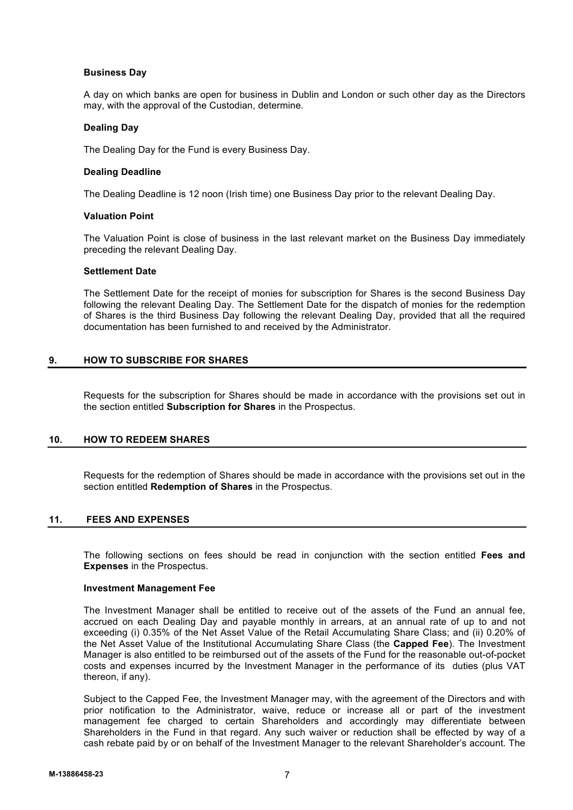# **Business Day**

A day on which banks are open for business in Dublin and London or such other day as the Directors may, with the approval of the Custodian, determine.

# **Dealing Day**

The Dealing Day for the Fund is every Business Day.

# **Dealing Deadline**

The Dealing Deadline is 12 noon (Irish time) one Business Day prior to the relevant Dealing Day.

# **Valuation Point**

The Valuation Point is close of business in the last relevant market on the Business Day immediately preceding the relevant Dealing Day.

# **Settlement Date**

The Settlement Date for the receipt of monies for subscription for Shares is the second Business Day following the relevant Dealing Day. The Settlement Date for the dispatch of monies for the redemption of Shares is the third Business Day following the relevant Dealing Day, provided that all the required documentation has been furnished to and received by the Administrator.

# **9. HOW TO SUBSCRIBE FOR SHARES**

Requests for the subscription for Shares should be made in accordance with the provisions set out in the section entitled **Subscription for Shares** in the Prospectus.

# **10. HOW TO REDEEM SHARES**

Requests for the redemption of Shares should be made in accordance with the provisions set out in the section entitled **Redemption of Shares** in the Prospectus.

# **11. FEES AND EXPENSES**

The following sections on fees should be read in conjunction with the section entitled **Fees and Expenses** in the Prospectus.

# **Investment Management Fee**

The Investment Manager shall be entitled to receive out of the assets of the Fund an annual fee, accrued on each Dealing Day and payable monthly in arrears, at an annual rate of up to and not exceeding (i) 0.35% of the Net Asset Value of the Retail Accumulating Share Class; and (ii) 0.20% of the Net Asset Value of the Institutional Accumulating Share Class (the **Capped Fee**). The Investment Manager is also entitled to be reimbursed out of the assets of the Fund for the reasonable out-of-pocket costs and expenses incurred by the Investment Manager in the performance of its duties (plus VAT thereon, if any).

Subject to the Capped Fee, the Investment Manager may, with the agreement of the Directors and with prior notification to the Administrator, waive, reduce or increase all or part of the investment management fee charged to certain Shareholders and accordingly may differentiate between Shareholders in the Fund in that regard. Any such waiver or reduction shall be effected by way of a cash rebate paid by or on behalf of the Investment Manager to the relevant Shareholder's account. The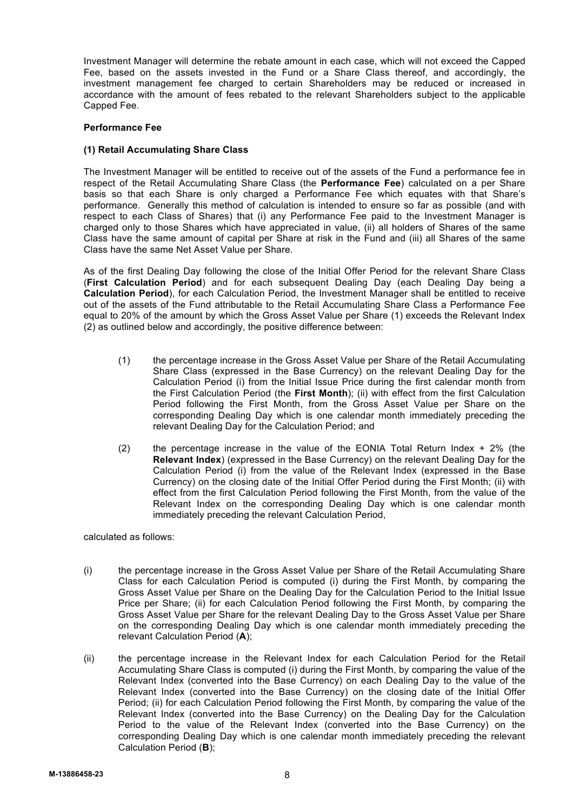Investment Manager will determine the rebate amount in each case, which will not exceed the Capped Fee, based on the assets invested in the Fund or a Share Class thereof, and accordingly, the investment management fee charged to certain Shareholders may be reduced or increased in accordance with the amount of fees rebated to the relevant Shareholders subject to the applicable Capped Fee.

# **Performance Fee**

# **(1) Retail Accumulating Share Class**

The Investment Manager will be entitled to receive out of the assets of the Fund a performance fee in respect of the Retail Accumulating Share Class (the **Performance Fee**) calculated on a per Share basis so that each Share is only charged a Performance Fee which equates with that Share's performance. Generally this method of calculation is intended to ensure so far as possible (and with respect to each Class of Shares) that (i) any Performance Fee paid to the Investment Manager is charged only to those Shares which have appreciated in value, (ii) all holders of Shares of the same Class have the same amount of capital per Share at risk in the Fund and (iii) all Shares of the same Class have the same Net Asset Value per Share.

As of the first Dealing Day following the close of the Initial Offer Period for the relevant Share Class (**First Calculation Period**) and for each subsequent Dealing Day (each Dealing Day being a **Calculation Period**), for each Calculation Period, the Investment Manager shall be entitled to receive out of the assets of the Fund attributable to the Retail Accumulating Share Class a Performance Fee equal to 20% of the amount by which the Gross Asset Value per Share (1) exceeds the Relevant Index (2) as outlined below and accordingly, the positive difference between:

- (1) the percentage increase in the Gross Asset Value per Share of the Retail Accumulating Share Class (expressed in the Base Currency) on the relevant Dealing Day for the Calculation Period (i) from the Initial Issue Price during the first calendar month from the First Calculation Period (the **First Month**); (ii) with effect from the first Calculation Period following the First Month, from the Gross Asset Value per Share on the corresponding Dealing Day which is one calendar month immediately preceding the relevant Dealing Day for the Calculation Period; and
- (2) the percentage increase in the value of the EONIA Total Return Index  $+ 2\%$  (the **Relevant Index**) (expressed in the Base Currency) on the relevant Dealing Day for the Calculation Period (i) from the value of the Relevant Index (expressed in the Base Currency) on the closing date of the Initial Offer Period during the First Month; (ii) with effect from the first Calculation Period following the First Month, from the value of the Relevant Index on the corresponding Dealing Day which is one calendar month immediately preceding the relevant Calculation Period,

calculated as follows:

- (i) the percentage increase in the Gross Asset Value per Share of the Retail Accumulating Share Class for each Calculation Period is computed (i) during the First Month, by comparing the Gross Asset Value per Share on the Dealing Day for the Calculation Period to the Initial Issue Price per Share; (ii) for each Calculation Period following the First Month, by comparing the Gross Asset Value per Share for the relevant Dealing Day to the Gross Asset Value per Share on the corresponding Dealing Day which is one calendar month immediately preceding the relevant Calculation Period (**A**);
- (ii) the percentage increase in the Relevant Index for each Calculation Period for the Retail Accumulating Share Class is computed (i) during the First Month, by comparing the value of the Relevant Index (converted into the Base Currency) on each Dealing Day to the value of the Relevant Index (converted into the Base Currency) on the closing date of the Initial Offer Period; (ii) for each Calculation Period following the First Month, by comparing the value of the Relevant Index (converted into the Base Currency) on the Dealing Day for the Calculation Period to the value of the Relevant Index (converted into the Base Currency) on the corresponding Dealing Day which is one calendar month immediately preceding the relevant Calculation Period (**B**);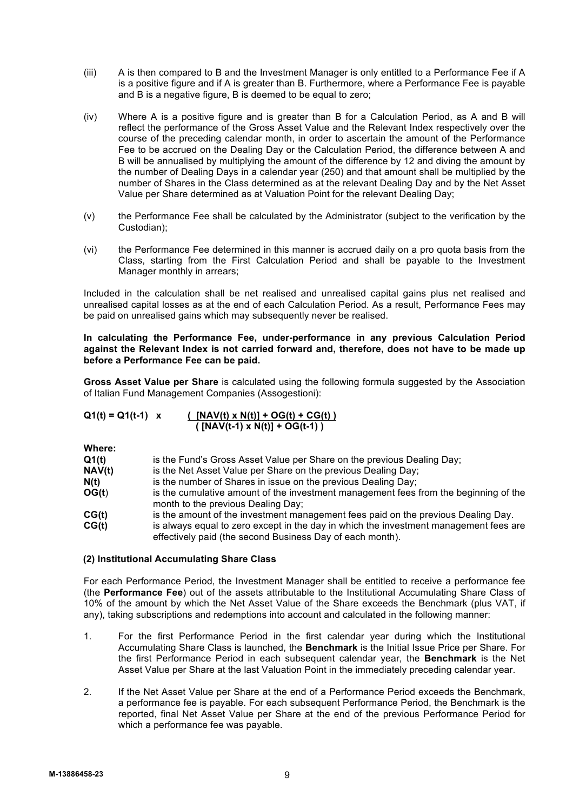- (iii) A is then compared to B and the Investment Manager is only entitled to a Performance Fee if A is a positive figure and if A is greater than B. Furthermore, where a Performance Fee is payable and B is a negative figure, B is deemed to be equal to zero;
- (iv) Where A is a positive figure and is greater than B for a Calculation Period, as A and B will reflect the performance of the Gross Asset Value and the Relevant Index respectively over the course of the preceding calendar month, in order to ascertain the amount of the Performance Fee to be accrued on the Dealing Day or the Calculation Period, the difference between A and B will be annualised by multiplying the amount of the difference by 12 and diving the amount by the number of Dealing Days in a calendar year (250) and that amount shall be multiplied by the number of Shares in the Class determined as at the relevant Dealing Day and by the Net Asset Value per Share determined as at Valuation Point for the relevant Dealing Day;
- (v) the Performance Fee shall be calculated by the Administrator (subject to the verification by the Custodian);
- (vi) the Performance Fee determined in this manner is accrued daily on a pro quota basis from the Class, starting from the First Calculation Period and shall be payable to the Investment Manager monthly in arrears;

Included in the calculation shall be net realised and unrealised capital gains plus net realised and unrealised capital losses as at the end of each Calculation Period. As a result, Performance Fees may be paid on unrealised gains which may subsequently never be realised.

**In calculating the Performance Fee, under-performance in any previous Calculation Period against the Relevant Index is not carried forward and, therefore, does not have to be made up before a Performance Fee can be paid.**

**Gross Asset Value per Share** is calculated using the following formula suggested by the Association of Italian Fund Management Companies (Assogestioni):

| $Q1(t) = Q1(t-1)$ x    | $(NAV(t) \times N(t)) + OG(t) + CG(t))$<br>$(NAV(t-1) \times N(t)) + OG(t-1)$ |
|------------------------|-------------------------------------------------------------------------------|
| Where:<br>$\sim$ $\mu$ | ia ika Fundia Onesa Asaai Valus nan Okane an ika noocisus F                   |

**Q1(t)** is the Fund's Gross Asset Value per Share on the previous Dealing Day;

**NAV(t)** is the Net Asset Value per Share on the previous Dealing Day;

- **N(t)** is the number of Shares in issue on the previous Dealing Day;
- **OG(t)** is the cumulative amount of the investment management fees from the beginning of the month to the previous Dealing Day;
- **CG(t)** is the amount of the investment management fees paid on the previous Dealing Day.

**CG(t)** is always equal to zero except in the day in which the investment management fees are effectively paid (the second Business Day of each month).

# **(2) Institutional Accumulating Share Class**

For each Performance Period, the Investment Manager shall be entitled to receive a performance fee (the **Performance Fee**) out of the assets attributable to the Institutional Accumulating Share Class of 10% of the amount by which the Net Asset Value of the Share exceeds the Benchmark (plus VAT, if any), taking subscriptions and redemptions into account and calculated in the following manner:

- 1. For the first Performance Period in the first calendar year during which the Institutional Accumulating Share Class is launched, the **Benchmark** is the Initial Issue Price per Share. For the first Performance Period in each subsequent calendar year, the **Benchmark** is the Net Asset Value per Share at the last Valuation Point in the immediately preceding calendar year.
- 2. If the Net Asset Value per Share at the end of a Performance Period exceeds the Benchmark, a performance fee is payable. For each subsequent Performance Period, the Benchmark is the reported, final Net Asset Value per Share at the end of the previous Performance Period for which a performance fee was payable.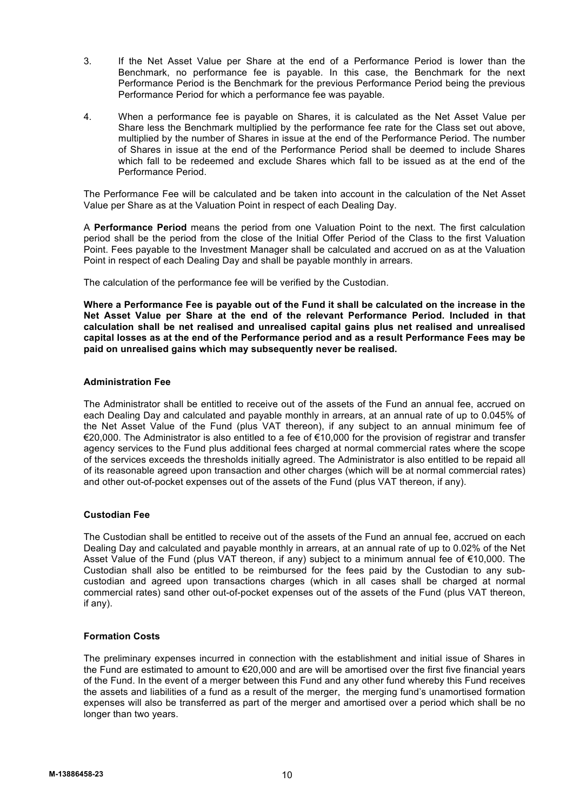- 3. If the Net Asset Value per Share at the end of a Performance Period is lower than the Benchmark, no performance fee is payable. In this case, the Benchmark for the next Performance Period is the Benchmark for the previous Performance Period being the previous Performance Period for which a performance fee was payable.
- 4. When a performance fee is payable on Shares, it is calculated as the Net Asset Value per Share less the Benchmark multiplied by the performance fee rate for the Class set out above, multiplied by the number of Shares in issue at the end of the Performance Period. The number of Shares in issue at the end of the Performance Period shall be deemed to include Shares which fall to be redeemed and exclude Shares which fall to be issued as at the end of the Performance Period.

The Performance Fee will be calculated and be taken into account in the calculation of the Net Asset Value per Share as at the Valuation Point in respect of each Dealing Day.

A **Performance Period** means the period from one Valuation Point to the next. The first calculation period shall be the period from the close of the Initial Offer Period of the Class to the first Valuation Point. Fees payable to the Investment Manager shall be calculated and accrued on as at the Valuation Point in respect of each Dealing Day and shall be payable monthly in arrears.

The calculation of the performance fee will be verified by the Custodian.

**Where a Performance Fee is payable out of the Fund it shall be calculated on the increase in the Net Asset Value per Share at the end of the relevant Performance Period. Included in that calculation shall be net realised and unrealised capital gains plus net realised and unrealised capital losses as at the end of the Performance period and as a result Performance Fees may be paid on unrealised gains which may subsequently never be realised.**

# **Administration Fee**

The Administrator shall be entitled to receive out of the assets of the Fund an annual fee, accrued on each Dealing Day and calculated and payable monthly in arrears, at an annual rate of up to 0.045% of the Net Asset Value of the Fund (plus VAT thereon), if any subject to an annual minimum fee of €20,000. The Administrator is also entitled to a fee of €10,000 for the provision of registrar and transfer agency services to the Fund plus additional fees charged at normal commercial rates where the scope of the services exceeds the thresholds initially agreed. The Administrator is also entitled to be repaid all of its reasonable agreed upon transaction and other charges (which will be at normal commercial rates) and other out-of-pocket expenses out of the assets of the Fund (plus VAT thereon, if any).

# **Custodian Fee**

The Custodian shall be entitled to receive out of the assets of the Fund an annual fee, accrued on each Dealing Day and calculated and payable monthly in arrears, at an annual rate of up to 0.02% of the Net Asset Value of the Fund (plus VAT thereon, if any) subject to a minimum annual fee of €10,000. The Custodian shall also be entitled to be reimbursed for the fees paid by the Custodian to any subcustodian and agreed upon transactions charges (which in all cases shall be charged at normal commercial rates) sand other out-of-pocket expenses out of the assets of the Fund (plus VAT thereon, if any).

# **Formation Costs**

The preliminary expenses incurred in connection with the establishment and initial issue of Shares in the Fund are estimated to amount to €20,000 and are will be amortised over the first five financial years of the Fund. In the event of a merger between this Fund and any other fund whereby this Fund receives the assets and liabilities of a fund as a result of the merger, the merging fund's unamortised formation expenses will also be transferred as part of the merger and amortised over a period which shall be no longer than two years.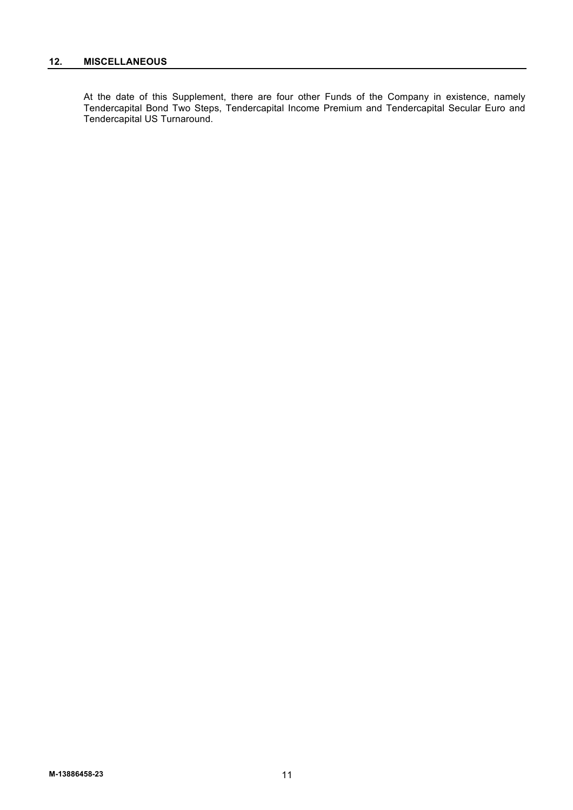At the date of this Supplement, there are four other Funds of the Company in existence, namely Tendercapital Bond Two Steps, Tendercapital Income Premium and Tendercapital Secular Euro and Tendercapital US Turnaround.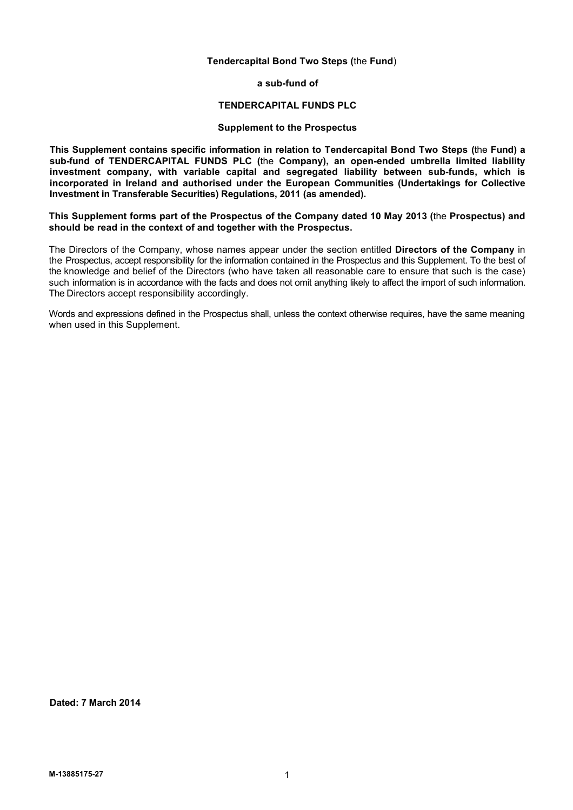# **Tendercapital Bond Two Steps (**the **Fund**)

**a sub-fund of**

#### **TENDERCAPITAL FUNDS PLC**

# **Supplement to the Prospectus**

**This Supplement contains specific information in relation to Tendercapital Bond Two Steps (**the **Fund) a sub-fund of TENDERCAPITAL FUNDS PLC (**the **Company), an open-ended umbrella limited liability investment company, with variable capital and segregated liability between sub-funds, which is incorporated in Ireland and authorised under the European Communities (Undertakings for Collective Investment in Transferable Securities) Regulations, 2011 (as amended).**

**This Supplement forms part of the Prospectus of the Company dated 10 May 2013 (**the **Prospectus) and should be read in the context of and together with the Prospectus.**

The Directors of the Company, whose names appear under the section entitled **Directors of the Company** in the Prospectus, accept responsibility for the information contained in the Prospectus and this Supplement. To the best of the knowledge and belief of the Directors (who have taken all reasonable care to ensure that such is the case) such information is in accordance with the facts and does not omit anything likely to affect the import of such information. The Directors accept responsibility accordingly.

Words and expressions defined in the Prospectus shall, unless the context otherwise requires, have the same meaning when used in this Supplement.

**Dated: 7 March 2014**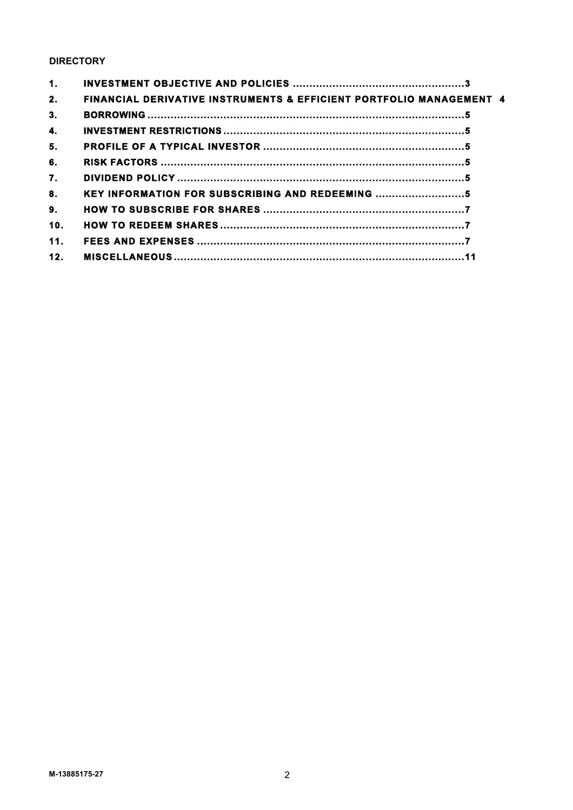# **DIRECTORY**

| 1.  |                                                                                |  |
|-----|--------------------------------------------------------------------------------|--|
| 2.  | <b>FINANCIAL DERIVATIVE INSTRUMENTS &amp; EFFICIENT PORTFOLIO MANAGEMENT 4</b> |  |
| 3.  |                                                                                |  |
| 4.  |                                                                                |  |
| 5.  |                                                                                |  |
| 6.  |                                                                                |  |
| 7.  |                                                                                |  |
| 8.  | KEY INFORMATION FOR SUBSCRIBING AND REDEEMING                                  |  |
| 9.  |                                                                                |  |
| 10. |                                                                                |  |
| 11. |                                                                                |  |
| 12. |                                                                                |  |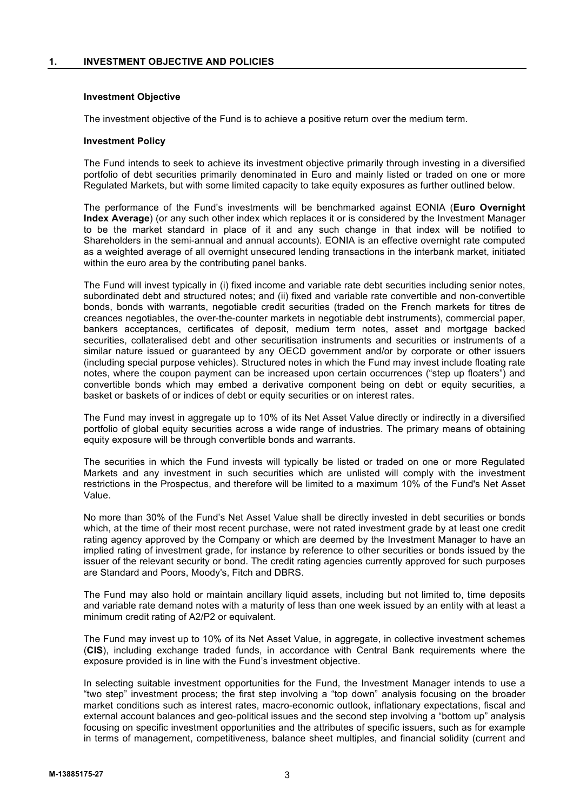# **1. INVESTMENT OBJECTIVE AND POLICIES**

# **Investment Objective**

The investment objective of the Fund is to achieve a positive return over the medium term.

#### **Investment Policy**

The Fund intends to seek to achieve its investment objective primarily through investing in a diversified portfolio of debt securities primarily denominated in Euro and mainly listed or traded on one or more Regulated Markets, but with some limited capacity to take equity exposures as further outlined below.

The performance of the Fund's investments will be benchmarked against EONIA (**Euro Overnight Index Average**) (or any such other index which replaces it or is considered by the Investment Manager to be the market standard in place of it and any such change in that index will be notified to Shareholders in the semi-annual and annual accounts). EONIA is an effective overnight rate computed as a weighted average of all overnight unsecured lending transactions in the interbank market, initiated within the euro area by the contributing panel banks.

The Fund will invest typically in (i) fixed income and variable rate debt securities including senior notes, subordinated debt and structured notes; and (ii) fixed and variable rate convertible and non-convertible bonds, bonds with warrants, negotiable credit securities (traded on the French markets for titres de creances negotiables, the over-the-counter markets in negotiable debt instruments), commercial paper, bankers acceptances, certificates of deposit, medium term notes, asset and mortgage backed securities, collateralised debt and other securitisation instruments and securities or instruments of a similar nature issued or guaranteed by any OECD government and/or by corporate or other issuers (including special purpose vehicles). Structured notes in which the Fund may invest include floating rate notes, where the coupon payment can be increased upon certain occurrences ("step up floaters") and convertible bonds which may embed a derivative component being on debt or equity securities, a basket or baskets of or indices of debt or equity securities or on interest rates.

The Fund may invest in aggregate up to 10% of its Net Asset Value directly or indirectly in a diversified portfolio of global equity securities across a wide range of industries. The primary means of obtaining equity exposure will be through convertible bonds and warrants.

The securities in which the Fund invests will typically be listed or traded on one or more Regulated Markets and any investment in such securities which are unlisted will comply with the investment restrictions in the Prospectus, and therefore will be limited to a maximum 10% of the Fund's Net Asset Value.

No more than 30% of the Fund's Net Asset Value shall be directly invested in debt securities or bonds which, at the time of their most recent purchase, were not rated investment grade by at least one credit rating agency approved by the Company or which are deemed by the Investment Manager to have an implied rating of investment grade, for instance by reference to other securities or bonds issued by the issuer of the relevant security or bond. The credit rating agencies currently approved for such purposes are Standard and Poors, Moody's, Fitch and DBRS.

The Fund may also hold or maintain ancillary liquid assets, including but not limited to, time deposits and variable rate demand notes with a maturity of less than one week issued by an entity with at least a minimum credit rating of A2/P2 or equivalent.

The Fund may invest up to 10% of its Net Asset Value, in aggregate, in collective investment schemes (**CIS**), including exchange traded funds, in accordance with Central Bank requirements where the exposure provided is in line with the Fund's investment objective.

In selecting suitable investment opportunities for the Fund, the Investment Manager intends to use a "two step" investment process; the first step involving a "top down" analysis focusing on the broader market conditions such as interest rates, macro-economic outlook, inflationary expectations, fiscal and external account balances and geo-political issues and the second step involving a "bottom up" analysis focusing on specific investment opportunities and the attributes of specific issuers, such as for example in terms of management, competitiveness, balance sheet multiples, and financial solidity (current and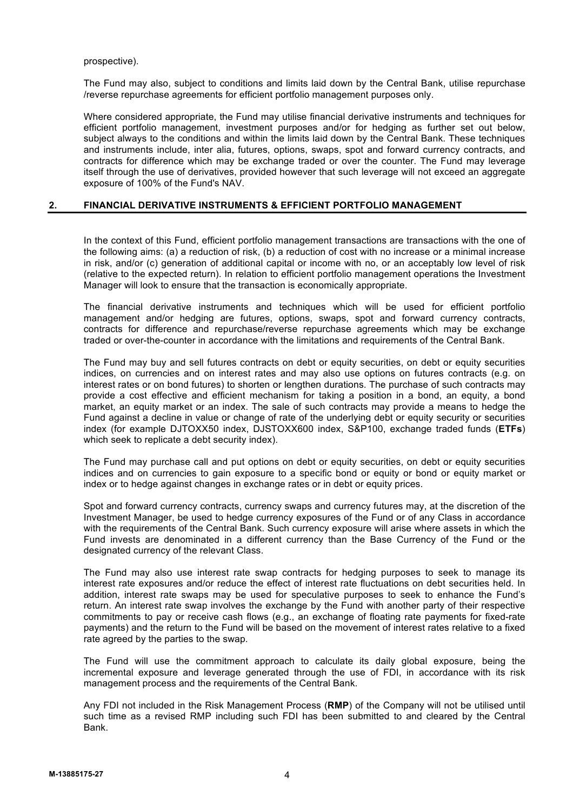prospective).

The Fund may also, subject to conditions and limits laid down by the Central Bank, utilise repurchase /reverse repurchase agreements for efficient portfolio management purposes only.

Where considered appropriate, the Fund may utilise financial derivative instruments and techniques for efficient portfolio management, investment purposes and/or for hedging as further set out below, subject always to the conditions and within the limits laid down by the Central Bank. These techniques and instruments include, inter alia, futures, options, swaps, spot and forward currency contracts, and contracts for difference which may be exchange traded or over the counter. The Fund may leverage itself through the use of derivatives, provided however that such leverage will not exceed an aggregate exposure of 100% of the Fund's NAV.

# **2. FINANCIAL DERIVATIVE INSTRUMENTS & EFFICIENT PORTFOLIO MANAGEMENT**

In the context of this Fund, efficient portfolio management transactions are transactions with the one of the following aims: (a) a reduction of risk, (b) a reduction of cost with no increase or a minimal increase in risk, and/or (c) generation of additional capital or income with no, or an acceptably low level of risk (relative to the expected return). In relation to efficient portfolio management operations the Investment Manager will look to ensure that the transaction is economically appropriate.

The financial derivative instruments and techniques which will be used for efficient portfolio management and/or hedging are futures, options, swaps, spot and forward currency contracts, contracts for difference and repurchase/reverse repurchase agreements which may be exchange traded or over-the-counter in accordance with the limitations and requirements of the Central Bank.

The Fund may buy and sell futures contracts on debt or equity securities, on debt or equity securities indices, on currencies and on interest rates and may also use options on futures contracts (e.g. on interest rates or on bond futures) to shorten or lengthen durations. The purchase of such contracts may provide a cost effective and efficient mechanism for taking a position in a bond, an equity, a bond market, an equity market or an index. The sale of such contracts may provide a means to hedge the Fund against a decline in value or change of rate of the underlying debt or equity security or securities index (for example DJTOXX50 index, DJSTOXX600 index, S&P100, exchange traded funds (**ETFs**) which seek to replicate a debt security index).

The Fund may purchase call and put options on debt or equity securities, on debt or equity securities indices and on currencies to gain exposure to a specific bond or equity or bond or equity market or index or to hedge against changes in exchange rates or in debt or equity prices.

Spot and forward currency contracts, currency swaps and currency futures may, at the discretion of the Investment Manager, be used to hedge currency exposures of the Fund or of any Class in accordance with the requirements of the Central Bank. Such currency exposure will arise where assets in which the Fund invests are denominated in a different currency than the Base Currency of the Fund or the designated currency of the relevant Class.

The Fund may also use interest rate swap contracts for hedging purposes to seek to manage its interest rate exposures and/or reduce the effect of interest rate fluctuations on debt securities held. In addition, interest rate swaps may be used for speculative purposes to seek to enhance the Fund's return. An interest rate swap involves the exchange by the Fund with another party of their respective commitments to pay or receive cash flows (e.g., an exchange of floating rate payments for fixed-rate payments) and the return to the Fund will be based on the movement of interest rates relative to a fixed rate agreed by the parties to the swap.

The Fund will use the commitment approach to calculate its daily global exposure, being the incremental exposure and leverage generated through the use of FDI, in accordance with its risk management process and the requirements of the Central Bank.

Any FDI not included in the Risk Management Process (**RMP**) of the Company will not be utilised until such time as a revised RMP including such FDI has been submitted to and cleared by the Central Bank.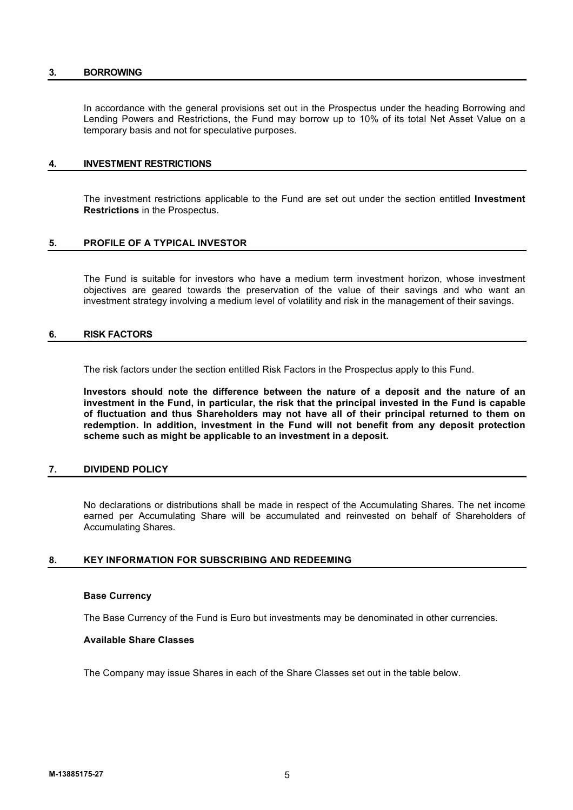#### **3. BORROWING**

In accordance with the general provisions set out in the Prospectus under the heading Borrowing and Lending Powers and Restrictions, the Fund may borrow up to 10% of its total Net Asset Value on a temporary basis and not for speculative purposes.

# **4. INVESTMENT RESTRICTIONS**

The investment restrictions applicable to the Fund are set out under the section entitled **Investment Restrictions** in the Prospectus.

# **5. PROFILE OF A TYPICAL INVESTOR**

The Fund is suitable for investors who have a medium term investment horizon, whose investment objectives are geared towards the preservation of the value of their savings and who want an investment strategy involving a medium level of volatility and risk in the management of their savings.

#### **6. RISK FACTORS**

The risk factors under the section entitled Risk Factors in the Prospectus apply to this Fund.

**Investors should note the difference between the nature of a deposit and the nature of an investment in the Fund, in particular, the risk that the principal invested in the Fund is capable of fluctuation and thus Shareholders may not have all of their principal returned to them on redemption. In addition, investment in the Fund will not benefit from any deposit protection scheme such as might be applicable to an investment in a deposit.**

# **7. DIVIDEND POLICY**

No declarations or distributions shall be made in respect of the Accumulating Shares. The net income earned per Accumulating Share will be accumulated and reinvested on behalf of Shareholders of Accumulating Shares.

# **8. KEY INFORMATION FOR SUBSCRIBING AND REDEEMING**

#### **Base Currency**

The Base Currency of the Fund is Euro but investments may be denominated in other currencies.

#### **Available Share Classes**

The Company may issue Shares in each of the Share Classes set out in the table below.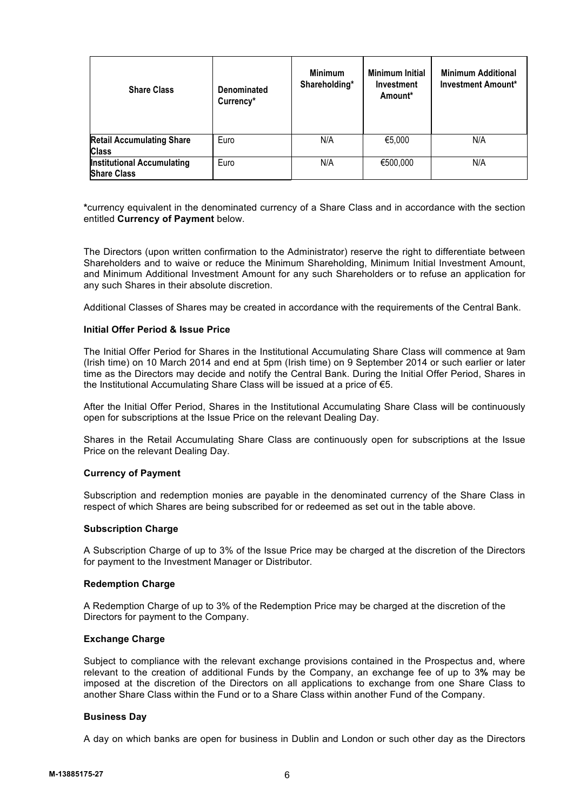| <b>Share Class</b>                                      | <b>Denominated</b><br>Currency* | <b>Minimum</b><br>Shareholding* | <b>Minimum Initial</b><br>Investment<br>Amount* | <b>Minimum Additional</b><br><b>Investment Amount*</b> |
|---------------------------------------------------------|---------------------------------|---------------------------------|-------------------------------------------------|--------------------------------------------------------|
| <b>Retail Accumulating Share</b><br><b>Class</b>        | Euro                            | N/A                             | €5,000                                          | N/A                                                    |
| <b>Institutional Accumulating</b><br><b>Share Class</b> | Euro                            | N/A                             | €500,000                                        | N/A                                                    |

**\***currency equivalent in the denominated currency of a Share Class and in accordance with the section entitled **Currency of Payment** below.

The Directors (upon written confirmation to the Administrator) reserve the right to differentiate between Shareholders and to waive or reduce the Minimum Shareholding, Minimum Initial Investment Amount, and Minimum Additional Investment Amount for any such Shareholders or to refuse an application for any such Shares in their absolute discretion.

Additional Classes of Shares may be created in accordance with the requirements of the Central Bank.

# **Initial Offer Period & Issue Price**

The Initial Offer Period for Shares in the Institutional Accumulating Share Class will commence at 9am (Irish time) on 10 March 2014 and end at 5pm (Irish time) on 9 September 2014 or such earlier or later time as the Directors may decide and notify the Central Bank. During the Initial Offer Period, Shares in the Institutional Accumulating Share Class will be issued at a price of €5.

After the Initial Offer Period, Shares in the Institutional Accumulating Share Class will be continuously open for subscriptions at the Issue Price on the relevant Dealing Day.

Shares in the Retail Accumulating Share Class are continuously open for subscriptions at the Issue Price on the relevant Dealing Day.

#### **Currency of Payment**

Subscription and redemption monies are payable in the denominated currency of the Share Class in respect of which Shares are being subscribed for or redeemed as set out in the table above.

# **Subscription Charge**

A Subscription Charge of up to 3% of the Issue Price may be charged at the discretion of the Directors for payment to the Investment Manager or Distributor.

#### **Redemption Charge**

A Redemption Charge of up to 3% of the Redemption Price may be charged at the discretion of the Directors for payment to the Company.

# **Exchange Charge**

Subject to compliance with the relevant exchange provisions contained in the Prospectus and, where relevant to the creation of additional Funds by the Company, an exchange fee of up to 3**%** may be imposed at the discretion of the Directors on all applications to exchange from one Share Class to another Share Class within the Fund or to a Share Class within another Fund of the Company.

# **Business Day**

A day on which banks are open for business in Dublin and London or such other day as the Directors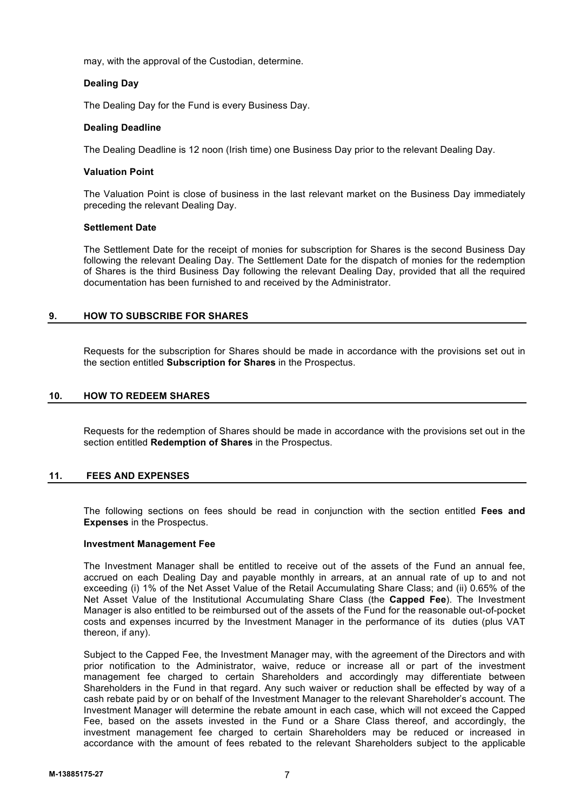may, with the approval of the Custodian, determine.

# **Dealing Day**

The Dealing Day for the Fund is every Business Day.

# **Dealing Deadline**

The Dealing Deadline is 12 noon (Irish time) one Business Day prior to the relevant Dealing Day.

# **Valuation Point**

The Valuation Point is close of business in the last relevant market on the Business Day immediately preceding the relevant Dealing Day.

# **Settlement Date**

The Settlement Date for the receipt of monies for subscription for Shares is the second Business Day following the relevant Dealing Day. The Settlement Date for the dispatch of monies for the redemption of Shares is the third Business Day following the relevant Dealing Day, provided that all the required documentation has been furnished to and received by the Administrator.

# **9. HOW TO SUBSCRIBE FOR SHARES**

Requests for the subscription for Shares should be made in accordance with the provisions set out in the section entitled **Subscription for Shares** in the Prospectus.

# **10. HOW TO REDEEM SHARES**

Requests for the redemption of Shares should be made in accordance with the provisions set out in the section entitled **Redemption of Shares** in the Prospectus.

# **11. FEES AND EXPENSES**

The following sections on fees should be read in conjunction with the section entitled **Fees and Expenses** in the Prospectus.

# **Investment Management Fee**

The Investment Manager shall be entitled to receive out of the assets of the Fund an annual fee, accrued on each Dealing Day and payable monthly in arrears, at an annual rate of up to and not exceeding (i) 1% of the Net Asset Value of the Retail Accumulating Share Class; and (ii) 0.65% of the Net Asset Value of the Institutional Accumulating Share Class (the **Capped Fee**). The Investment Manager is also entitled to be reimbursed out of the assets of the Fund for the reasonable out-of-pocket costs and expenses incurred by the Investment Manager in the performance of its duties (plus VAT thereon, if any).

Subject to the Capped Fee, the Investment Manager may, with the agreement of the Directors and with prior notification to the Administrator, waive, reduce or increase all or part of the investment management fee charged to certain Shareholders and accordingly may differentiate between Shareholders in the Fund in that regard. Any such waiver or reduction shall be effected by way of a cash rebate paid by or on behalf of the Investment Manager to the relevant Shareholder's account. The Investment Manager will determine the rebate amount in each case, which will not exceed the Capped Fee, based on the assets invested in the Fund or a Share Class thereof, and accordingly, the investment management fee charged to certain Shareholders may be reduced or increased in accordance with the amount of fees rebated to the relevant Shareholders subject to the applicable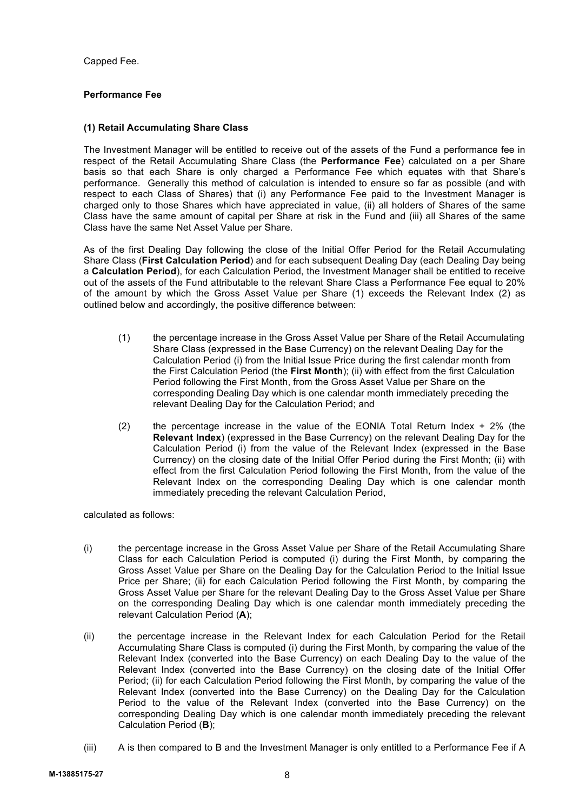Capped Fee.

# **Performance Fee**

# **(1) Retail Accumulating Share Class**

The Investment Manager will be entitled to receive out of the assets of the Fund a performance fee in respect of the Retail Accumulating Share Class (the **Performance Fee**) calculated on a per Share basis so that each Share is only charged a Performance Fee which equates with that Share's performance. Generally this method of calculation is intended to ensure so far as possible (and with respect to each Class of Shares) that (i) any Performance Fee paid to the Investment Manager is charged only to those Shares which have appreciated in value, (ii) all holders of Shares of the same Class have the same amount of capital per Share at risk in the Fund and (iii) all Shares of the same Class have the same Net Asset Value per Share.

As of the first Dealing Day following the close of the Initial Offer Period for the Retail Accumulating Share Class (**First Calculation Period**) and for each subsequent Dealing Day (each Dealing Day being a **Calculation Period**), for each Calculation Period, the Investment Manager shall be entitled to receive out of the assets of the Fund attributable to the relevant Share Class a Performance Fee equal to 20% of the amount by which the Gross Asset Value per Share (1) exceeds the Relevant Index (2) as outlined below and accordingly, the positive difference between:

- (1) the percentage increase in the Gross Asset Value per Share of the Retail Accumulating Share Class (expressed in the Base Currency) on the relevant Dealing Day for the Calculation Period (i) from the Initial Issue Price during the first calendar month from the First Calculation Period (the **First Month**); (ii) with effect from the first Calculation Period following the First Month, from the Gross Asset Value per Share on the corresponding Dealing Day which is one calendar month immediately preceding the relevant Dealing Day for the Calculation Period; and
- (2) the percentage increase in the value of the EONIA Total Return Index  $+2\%$  (the **Relevant Index**) (expressed in the Base Currency) on the relevant Dealing Day for the Calculation Period (i) from the value of the Relevant Index (expressed in the Base Currency) on the closing date of the Initial Offer Period during the First Month; (ii) with effect from the first Calculation Period following the First Month, from the value of the Relevant Index on the corresponding Dealing Day which is one calendar month immediately preceding the relevant Calculation Period,

calculated as follows:

- (i) the percentage increase in the Gross Asset Value per Share of the Retail Accumulating Share Class for each Calculation Period is computed (i) during the First Month, by comparing the Gross Asset Value per Share on the Dealing Day for the Calculation Period to the Initial Issue Price per Share; (ii) for each Calculation Period following the First Month, by comparing the Gross Asset Value per Share for the relevant Dealing Day to the Gross Asset Value per Share on the corresponding Dealing Day which is one calendar month immediately preceding the relevant Calculation Period (**A**);
- (ii) the percentage increase in the Relevant Index for each Calculation Period for the Retail Accumulating Share Class is computed (i) during the First Month, by comparing the value of the Relevant Index (converted into the Base Currency) on each Dealing Day to the value of the Relevant Index (converted into the Base Currency) on the closing date of the Initial Offer Period; (ii) for each Calculation Period following the First Month, by comparing the value of the Relevant Index (converted into the Base Currency) on the Dealing Day for the Calculation Period to the value of the Relevant Index (converted into the Base Currency) on the corresponding Dealing Day which is one calendar month immediately preceding the relevant Calculation Period (**B**);
- (iii) A is then compared to B and the Investment Manager is only entitled to a Performance Fee if A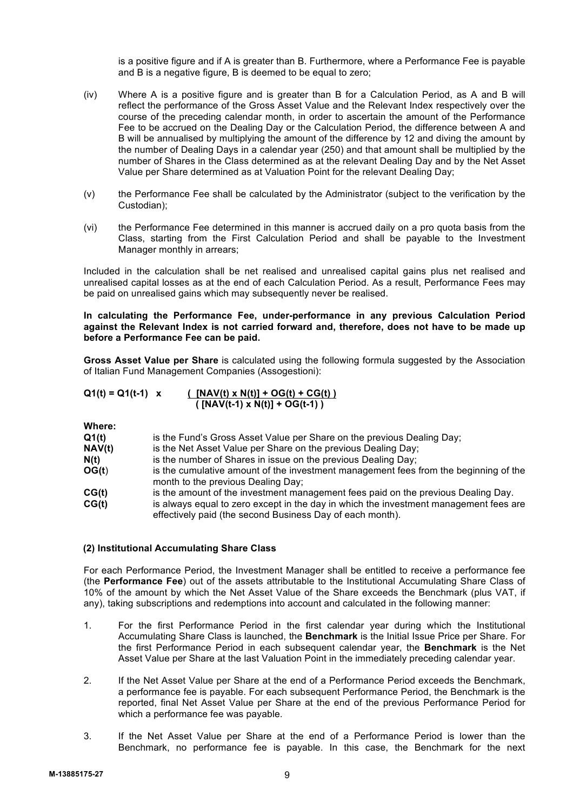is a positive figure and if A is greater than B. Furthermore, where a Performance Fee is payable and B is a negative figure, B is deemed to be equal to zero;

- (iv) Where A is a positive figure and is greater than B for a Calculation Period, as A and B will reflect the performance of the Gross Asset Value and the Relevant Index respectively over the course of the preceding calendar month, in order to ascertain the amount of the Performance Fee to be accrued on the Dealing Day or the Calculation Period, the difference between A and B will be annualised by multiplying the amount of the difference by 12 and diving the amount by the number of Dealing Days in a calendar year (250) and that amount shall be multiplied by the number of Shares in the Class determined as at the relevant Dealing Day and by the Net Asset Value per Share determined as at Valuation Point for the relevant Dealing Day;
- (v) the Performance Fee shall be calculated by the Administrator (subject to the verification by the Custodian);
- (vi) the Performance Fee determined in this manner is accrued daily on a pro quota basis from the Class, starting from the First Calculation Period and shall be payable to the Investment Manager monthly in arrears;

Included in the calculation shall be net realised and unrealised capital gains plus net realised and unrealised capital losses as at the end of each Calculation Period. As a result, Performance Fees may be paid on unrealised gains which may subsequently never be realised.

**In calculating the Performance Fee, under-performance in any previous Calculation Period against the Relevant Index is not carried forward and, therefore, does not have to be made up before a Performance Fee can be paid.**

**Gross Asset Value per Share** is calculated using the following formula suggested by the Association of Italian Fund Management Companies (Assogestioni):

| $Q1(t) = Q1(t-1)$ x | $(NAV(t) \times N(t)) + OG(t) + CG(t))$ |
|---------------------|-----------------------------------------|
|                     | $(NAV(t-1) \times N(t)) + OG(t-1)$      |

**Where:**

| Q1(t)  | is the Fund's Gross Asset Value per Share on the previous Dealing Day;                                                                             |
|--------|----------------------------------------------------------------------------------------------------------------------------------------------------|
| NAV(t) | is the Net Asset Value per Share on the previous Dealing Day;                                                                                      |
| N(t)   | is the number of Shares in issue on the previous Dealing Day;                                                                                      |
| OG(t)  | is the cumulative amount of the investment management fees from the beginning of the                                                               |
|        | month to the previous Dealing Day;                                                                                                                 |
| CG(t)  | is the amount of the investment management fees paid on the previous Dealing Day.                                                                  |
| CG(t)  | is always equal to zero except in the day in which the investment management fees are<br>effectively paid (the second Business Day of each month). |

# **(2) Institutional Accumulating Share Class**

For each Performance Period, the Investment Manager shall be entitled to receive a performance fee (the **Performance Fee**) out of the assets attributable to the Institutional Accumulating Share Class of 10% of the amount by which the Net Asset Value of the Share exceeds the Benchmark (plus VAT, if any), taking subscriptions and redemptions into account and calculated in the following manner:

- 1. For the first Performance Period in the first calendar year during which the Institutional Accumulating Share Class is launched, the **Benchmark** is the Initial Issue Price per Share. For the first Performance Period in each subsequent calendar year, the **Benchmark** is the Net Asset Value per Share at the last Valuation Point in the immediately preceding calendar year.
- 2. If the Net Asset Value per Share at the end of a Performance Period exceeds the Benchmark, a performance fee is payable. For each subsequent Performance Period, the Benchmark is the reported, final Net Asset Value per Share at the end of the previous Performance Period for which a performance fee was payable.
- 3. If the Net Asset Value per Share at the end of a Performance Period is lower than the Benchmark, no performance fee is payable. In this case, the Benchmark for the next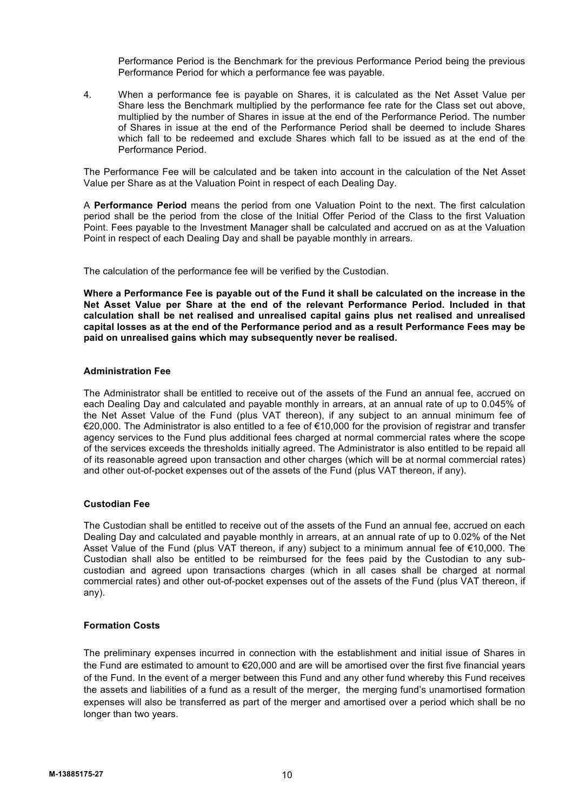Performance Period is the Benchmark for the previous Performance Period being the previous Performance Period for which a performance fee was payable.

4. When a performance fee is payable on Shares, it is calculated as the Net Asset Value per Share less the Benchmark multiplied by the performance fee rate for the Class set out above, multiplied by the number of Shares in issue at the end of the Performance Period. The number of Shares in issue at the end of the Performance Period shall be deemed to include Shares which fall to be redeemed and exclude Shares which fall to be issued as at the end of the Performance Period.

The Performance Fee will be calculated and be taken into account in the calculation of the Net Asset Value per Share as at the Valuation Point in respect of each Dealing Day.

A **Performance Period** means the period from one Valuation Point to the next. The first calculation period shall be the period from the close of the Initial Offer Period of the Class to the first Valuation Point. Fees payable to the Investment Manager shall be calculated and accrued on as at the Valuation Point in respect of each Dealing Day and shall be payable monthly in arrears.

The calculation of the performance fee will be verified by the Custodian.

**Where a Performance Fee is payable out of the Fund it shall be calculated on the increase in the Net Asset Value per Share at the end of the relevant Performance Period. Included in that calculation shall be net realised and unrealised capital gains plus net realised and unrealised capital losses as at the end of the Performance period and as a result Performance Fees may be paid on unrealised gains which may subsequently never be realised.**

# **Administration Fee**

The Administrator shall be entitled to receive out of the assets of the Fund an annual fee, accrued on each Dealing Day and calculated and payable monthly in arrears, at an annual rate of up to 0.045% of the Net Asset Value of the Fund (plus VAT thereon), if any subject to an annual minimum fee of €20,000. The Administrator is also entitled to a fee of €10,000 for the provision of registrar and transfer agency services to the Fund plus additional fees charged at normal commercial rates where the scope of the services exceeds the thresholds initially agreed. The Administrator is also entitled to be repaid all of its reasonable agreed upon transaction and other charges (which will be at normal commercial rates) and other out-of-pocket expenses out of the assets of the Fund (plus VAT thereon, if any).

# **Custodian Fee**

The Custodian shall be entitled to receive out of the assets of the Fund an annual fee, accrued on each Dealing Day and calculated and payable monthly in arrears, at an annual rate of up to 0.02% of the Net Asset Value of the Fund (plus VAT thereon, if any) subject to a minimum annual fee of €10,000. The Custodian shall also be entitled to be reimbursed for the fees paid by the Custodian to any subcustodian and agreed upon transactions charges (which in all cases shall be charged at normal commercial rates) and other out-of-pocket expenses out of the assets of the Fund (plus VAT thereon, if any).

# **Formation Costs**

The preliminary expenses incurred in connection with the establishment and initial issue of Shares in the Fund are estimated to amount to €20,000 and are will be amortised over the first five financial years of the Fund. In the event of a merger between this Fund and any other fund whereby this Fund receives the assets and liabilities of a fund as a result of the merger, the merging fund's unamortised formation expenses will also be transferred as part of the merger and amortised over a period which shall be no longer than two years.